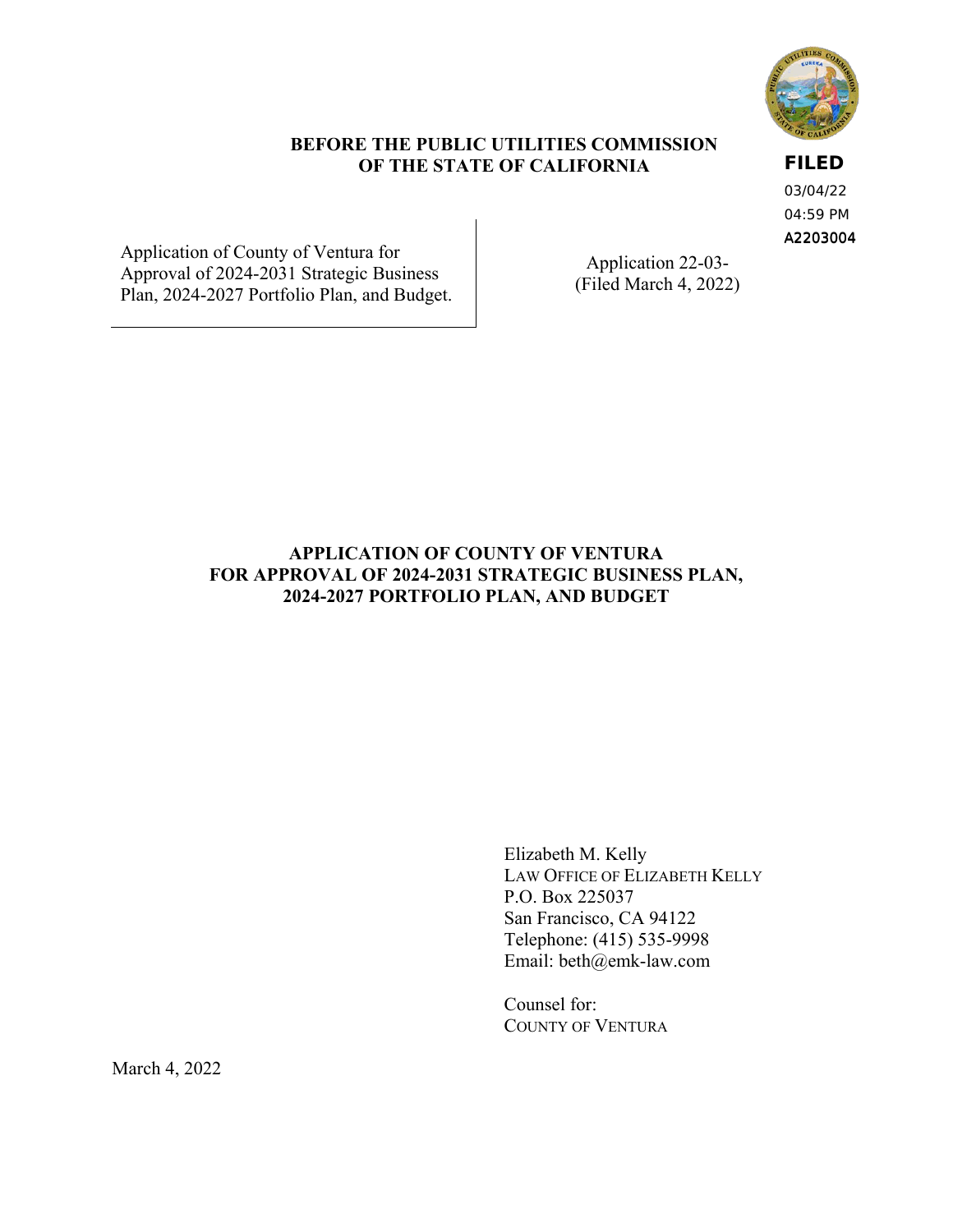

## **BEFORE THE PUBLIC UTILITIES COMMISSION OF THE STATE OF CALIFORNIA**

**FILED**

A2203004 03/04/22 04:59 PM

Application of County of Ventura for<br>
Application 22-03-<br>
Plan, 2024-2027 Portfolio Plan, and Budget. (Filed March 4, 2022)

# **APPLICATION OF COUNTY OF VENTURA** FOR APPROVAL OF 2024-2031 STRATEGIC BUSINESS PLAN, **2024-2027 PORTFOLIO PLAN, AND BUDGET**

Elizabeth M. Kelly LAW OFFICE OF ELIZABETH KELLY P.O. Box 225037 San Francisco, CA 94122 Telephone: (415) 535-9998 Email: [beth@emk-law.com](mailto:beth@emk-law.com) 

Counsel for: COUNTY OF VENTURA

March 4, 2022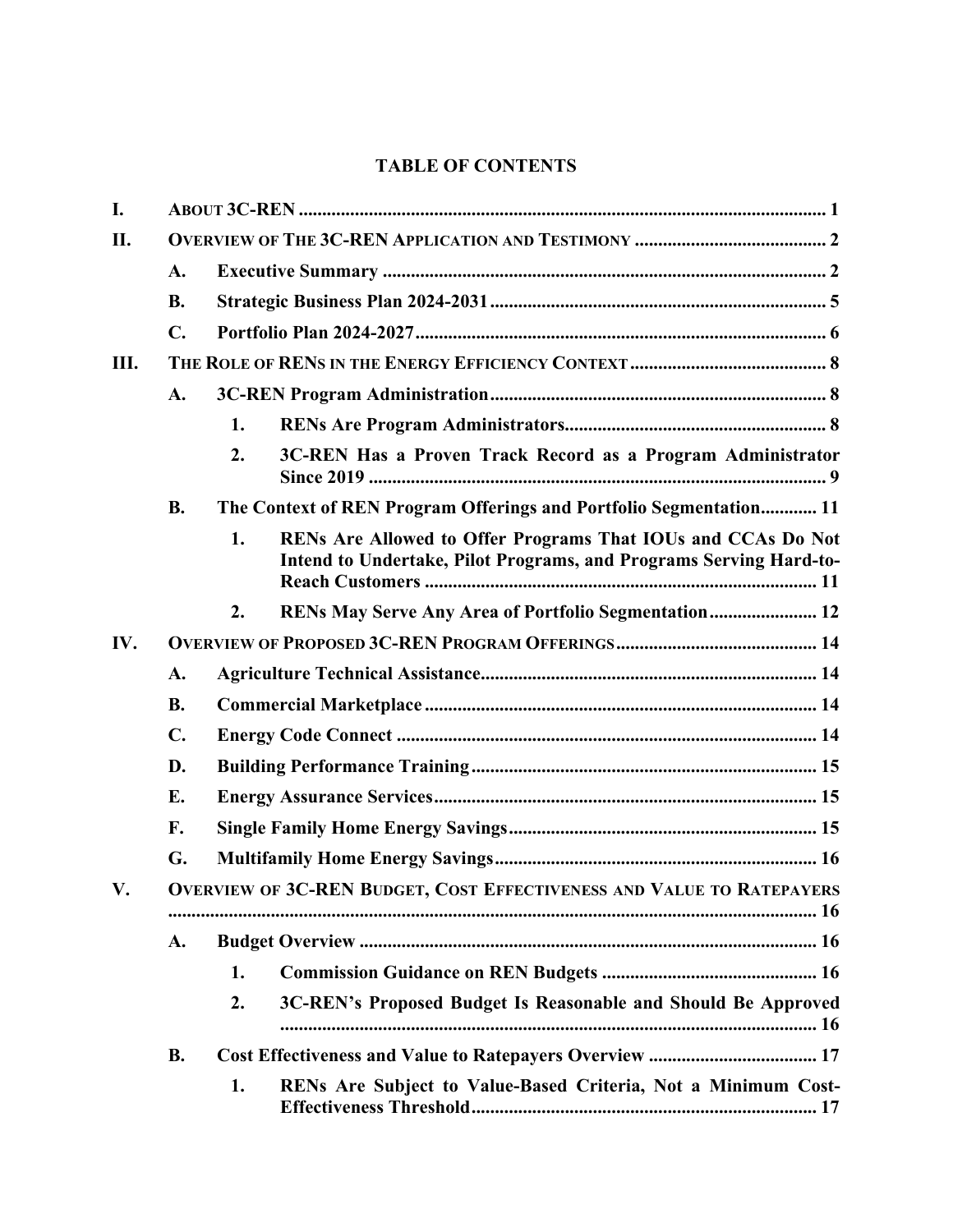# **TABLE OF CONTENTS**

| I.  |                |    |                                                                                                                                    |  |  |  |  |  |
|-----|----------------|----|------------------------------------------------------------------------------------------------------------------------------------|--|--|--|--|--|
| II. |                |    |                                                                                                                                    |  |  |  |  |  |
|     | $\mathbf{A}$ . |    |                                                                                                                                    |  |  |  |  |  |
|     | <b>B.</b>      |    |                                                                                                                                    |  |  |  |  |  |
|     | $\mathbf{C}$ . |    |                                                                                                                                    |  |  |  |  |  |
| Ш.  |                |    |                                                                                                                                    |  |  |  |  |  |
|     | $\mathbf{A}$ . |    |                                                                                                                                    |  |  |  |  |  |
|     |                | 1. |                                                                                                                                    |  |  |  |  |  |
|     |                | 2. | 3C-REN Has a Proven Track Record as a Program Administrator                                                                        |  |  |  |  |  |
|     | <b>B.</b>      |    | The Context of REN Program Offerings and Portfolio Segmentation 11                                                                 |  |  |  |  |  |
|     |                | 1. | RENs Are Allowed to Offer Programs That IOUs and CCAs Do Not<br>Intend to Undertake, Pilot Programs, and Programs Serving Hard-to- |  |  |  |  |  |
|     |                | 2. | RENs May Serve Any Area of Portfolio Segmentation 12                                                                               |  |  |  |  |  |
| IV. |                |    |                                                                                                                                    |  |  |  |  |  |
|     | A.             |    |                                                                                                                                    |  |  |  |  |  |
|     | <b>B.</b>      |    |                                                                                                                                    |  |  |  |  |  |
|     | $\mathbf{C}$ . |    |                                                                                                                                    |  |  |  |  |  |
|     | D.             |    |                                                                                                                                    |  |  |  |  |  |
|     | E.             |    |                                                                                                                                    |  |  |  |  |  |
|     | F.             |    |                                                                                                                                    |  |  |  |  |  |
|     | G.             |    |                                                                                                                                    |  |  |  |  |  |
| V.  |                |    | OVERVIEW OF 3C-REN BUDGET, COST EFFECTIVENESS AND VALUE TO RATEPAYERS                                                              |  |  |  |  |  |
|     | A.             |    |                                                                                                                                    |  |  |  |  |  |
|     |                | 1. |                                                                                                                                    |  |  |  |  |  |
|     |                | 2. | 3C-REN's Proposed Budget Is Reasonable and Should Be Approved                                                                      |  |  |  |  |  |
|     | <b>B.</b>      |    |                                                                                                                                    |  |  |  |  |  |
|     |                | 1. | RENs Are Subject to Value-Based Criteria, Not a Minimum Cost-                                                                      |  |  |  |  |  |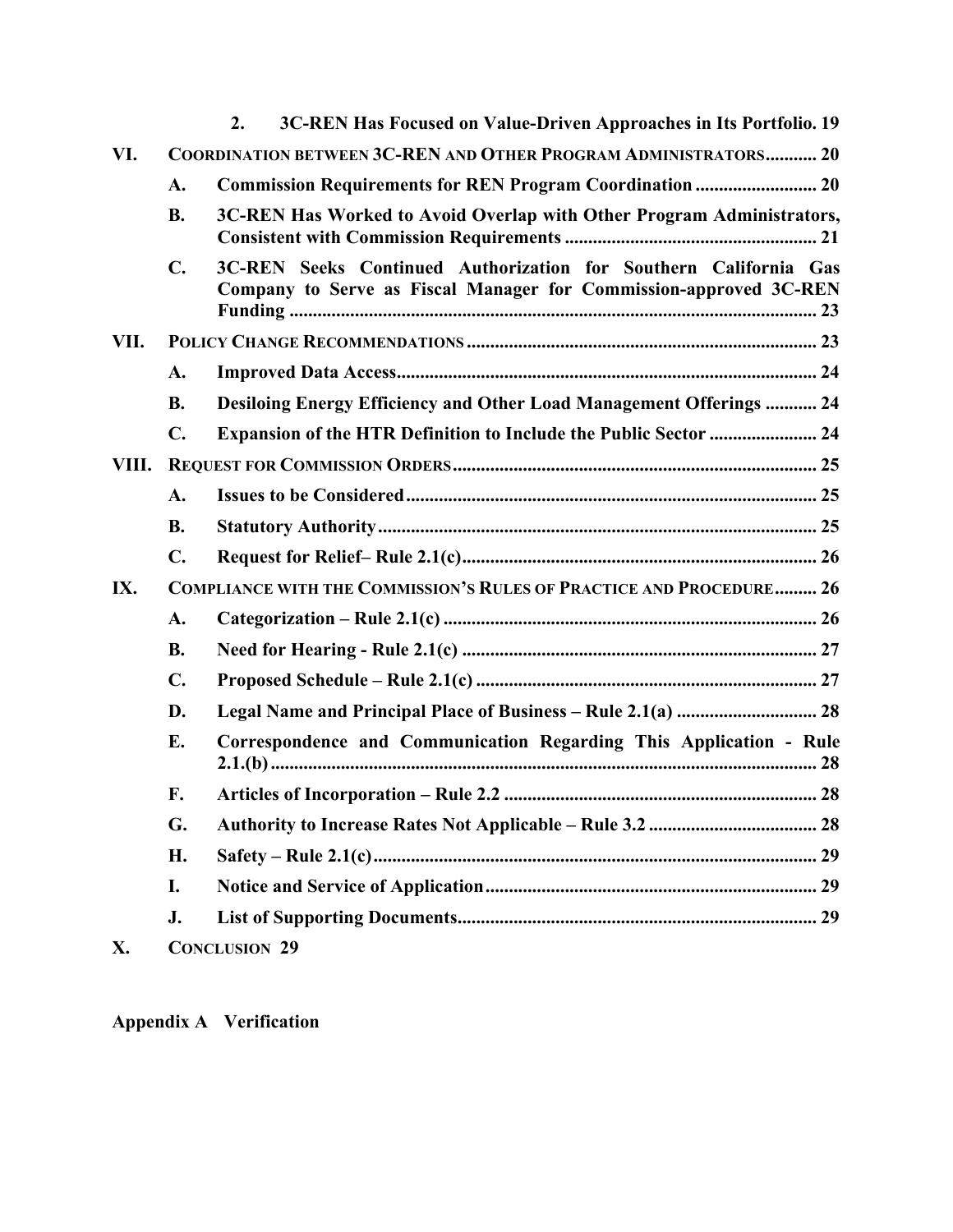|       |                                                                            | 3C-REN Has Focused on Value-Driven Approaches in Its Portfolio. 19<br>$\overline{2}$ .                                                |  |  |  |  |  |  |
|-------|----------------------------------------------------------------------------|---------------------------------------------------------------------------------------------------------------------------------------|--|--|--|--|--|--|
| VI.   | COORDINATION BETWEEN 3C-REN AND OTHER PROGRAM ADMINISTRATORS 20            |                                                                                                                                       |  |  |  |  |  |  |
|       | A.                                                                         | Commission Requirements for REN Program Coordination  20                                                                              |  |  |  |  |  |  |
|       | <b>B.</b>                                                                  | 3C-REN Has Worked to Avoid Overlap with Other Program Administrators,                                                                 |  |  |  |  |  |  |
|       | $\mathbf{C}$ .                                                             | 3C-REN Seeks Continued Authorization for Southern California Gas<br>Company to Serve as Fiscal Manager for Commission-approved 3C-REN |  |  |  |  |  |  |
| VII.  |                                                                            |                                                                                                                                       |  |  |  |  |  |  |
|       | A.                                                                         |                                                                                                                                       |  |  |  |  |  |  |
|       | <b>B.</b>                                                                  | <b>Desiloing Energy Efficiency and Other Load Management Offerings  24</b>                                                            |  |  |  |  |  |  |
|       | $\mathbf{C}$ .                                                             | <b>Expansion of the HTR Definition to Include the Public Sector  24</b>                                                               |  |  |  |  |  |  |
| VIII. |                                                                            |                                                                                                                                       |  |  |  |  |  |  |
|       | A.                                                                         |                                                                                                                                       |  |  |  |  |  |  |
|       | <b>B.</b>                                                                  |                                                                                                                                       |  |  |  |  |  |  |
|       | $\mathbf{C}$ .                                                             |                                                                                                                                       |  |  |  |  |  |  |
| IX.   | <b>COMPLIANCE WITH THE COMMISSION'S RULES OF PRACTICE AND PROCEDURE 26</b> |                                                                                                                                       |  |  |  |  |  |  |
|       | A.                                                                         |                                                                                                                                       |  |  |  |  |  |  |
|       | <b>B.</b>                                                                  |                                                                                                                                       |  |  |  |  |  |  |
|       | $\mathbf{C}$ .                                                             |                                                                                                                                       |  |  |  |  |  |  |
|       | D.                                                                         | Legal Name and Principal Place of Business - Rule 2.1(a)  28                                                                          |  |  |  |  |  |  |
|       | E.                                                                         | Correspondence and Communication Regarding This Application - Rule                                                                    |  |  |  |  |  |  |
|       | F.                                                                         |                                                                                                                                       |  |  |  |  |  |  |
|       | G.                                                                         |                                                                                                                                       |  |  |  |  |  |  |
|       | H.                                                                         |                                                                                                                                       |  |  |  |  |  |  |
|       | I.                                                                         |                                                                                                                                       |  |  |  |  |  |  |
|       | J.                                                                         |                                                                                                                                       |  |  |  |  |  |  |
| X.    |                                                                            | <b>CONCLUSION 29</b>                                                                                                                  |  |  |  |  |  |  |

**Appendix A Verification**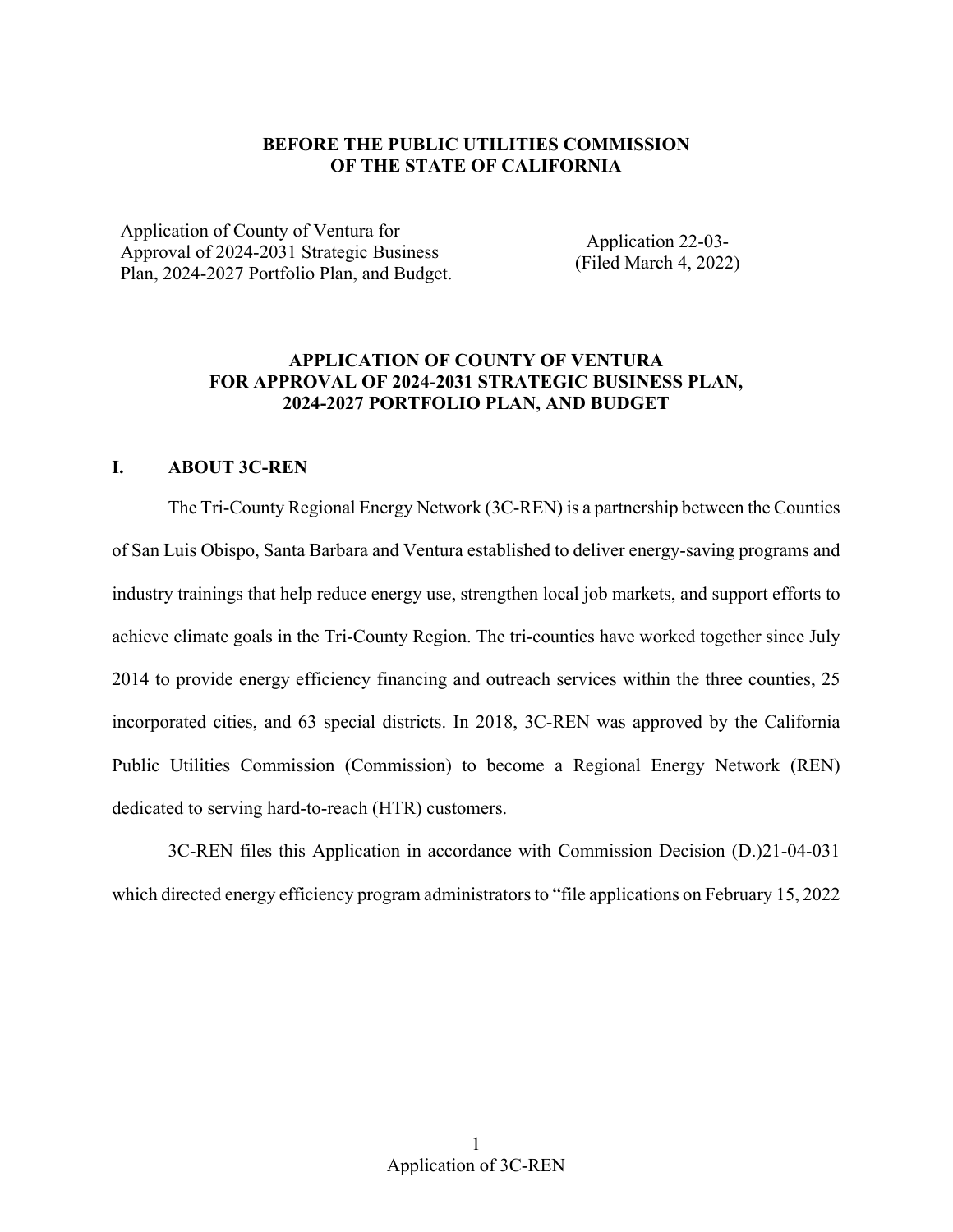## **BEFORE THE PUBLIC UTILITIES COMMISSION OF THE STATE OF CALIFORNIA**

Application of County of Ventura for<br>
Application 22-03-<br>
Plan, 2024-2027 Portfolio Plan, and Budget. (Filed March 4, 2022)

## **APPLICATION OF COUNTY OF VENTURA FOR APPROVAL OF 2024-2031 STRATEGIC BUSINESS PLAN, 2024-2027 PORTFOLIO PLAN, AND BUDGET**

## <span id="page-3-0"></span>**I. ABOUT 3C-REN**

 industry trainings that help reduce energy use, strengthen local job markets, and support efforts to The Tri-County Regional Energy Network (3C-REN) is a partnership between the Counties of San Luis Obispo, Santa Barbara and Ventura established to deliver energy-saving programs and achieve climate goals in the Tri-County Region. The tri-counties have worked together since July 2014 to provide energy efficiency financing and outreach services within the three counties, 25 incorporated cities, and 63 special districts. In 2018, 3C-REN was approved by the California Public Utilities Commission (Commission) to become a Regional Energy Network (REN) dedicated to serving hard-to-reach (HTR) customers.

3C-REN files this Application in accordance with Commission Decision (D.)21-04-031 which directed energy efficiency program administrators to "file applications on February 15, 2022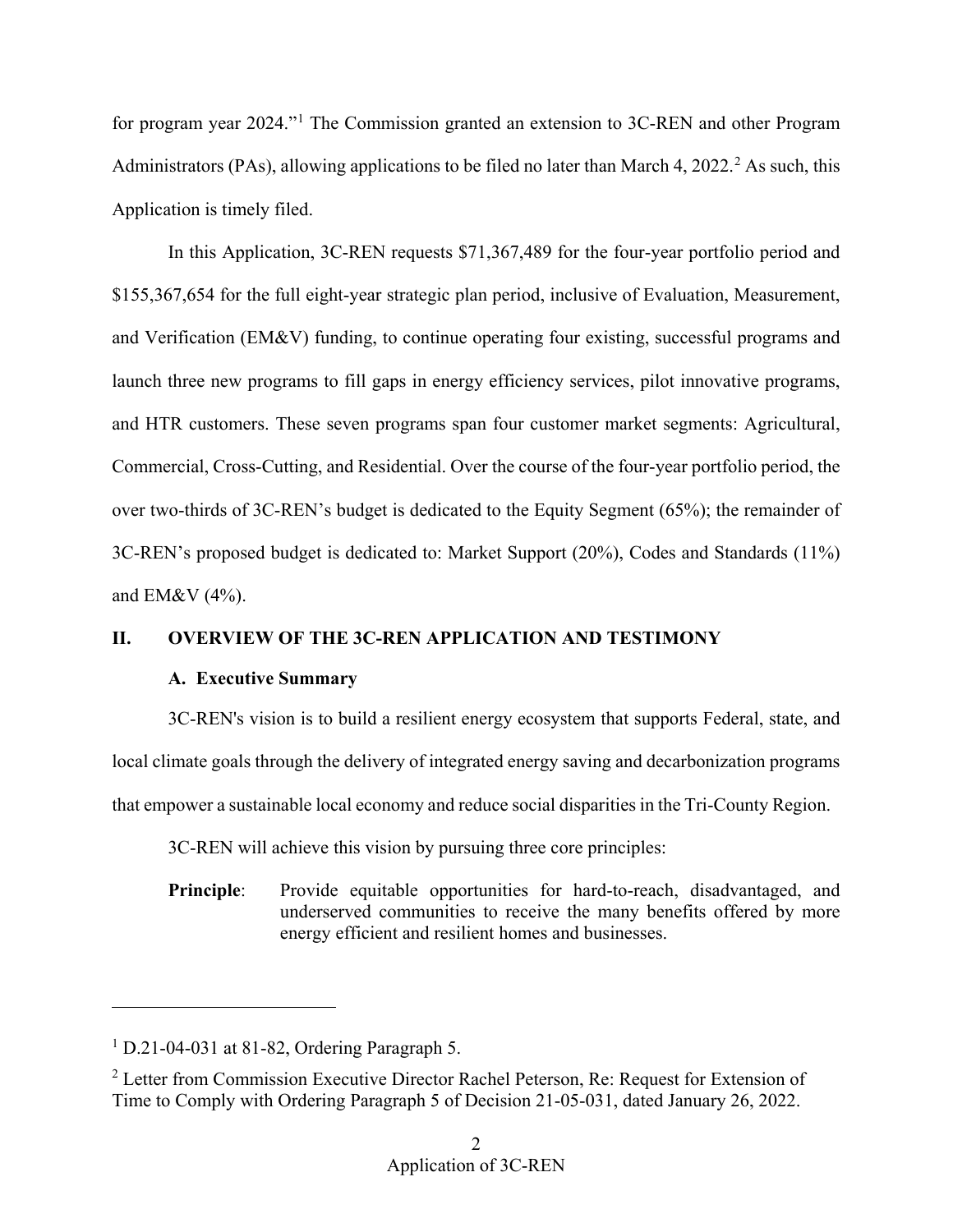for program year 2024."[1](#page-4-2) The Commission granted an extension to 3C-REN and other Program Administrators (PAs), allowing applications to be filed no later than March 4, [2](#page-4-3)022.<sup>2</sup> As such, this Application is timely filed.

 In this Application, 3C-REN requests \$71,367,489 for the four-year portfolio period and and Verification (EM&V) funding, to continue operating four existing, successful programs and over two-thirds of 3C-REN's budget is dedicated to the Equity Segment (65%); the remainder of and EM&V (4%). \$155,367,654 for the full eight-year strategic plan period, inclusive of Evaluation, Measurement, launch three new programs to fill gaps in energy efficiency services, pilot innovative programs, and HTR customers. These seven programs span four customer market segments: Agricultural, Commercial, Cross-Cutting, and Residential. Over the course of the four-year portfolio period, the 3C-REN's proposed budget is dedicated to: Market Support (20%), Codes and Standards (11%)

# <span id="page-4-1"></span><span id="page-4-0"></span>**II. OVERVIEW OF THE 3C-REN APPLICATION AND TESTIMONY**

# **A. Executive Summary**

 that empower a sustainable local economy and reduce social disparities in the Tri-County Region. 3C-REN will achieve this vision by pursuing three core principles: 3C-REN's vision is to build a resilient energy ecosystem that supports Federal, state, and local climate goals through the delivery of integrated energy saving and decarbonization programs

3C-REN will achieve this vision by pursuing three core principles:

energy efficient and resilient homes and businesses. **Principle**: Provide equitable opportunities for hard-to-reach, disadvantaged, and underserved communities to receive the many benefits offered by more energy efficient and resilient homes and businesses.

-

<span id="page-4-2"></span> $<sup>1</sup>$  D.21-04-031 at 81-82, Ordering Paragraph 5.</sup>

<span id="page-4-3"></span><sup>&</sup>lt;sup>2</sup> Letter from Commission Executive Director Rachel Peterson, Re: Request for Extension of Time to Comply with Ordering Paragraph 5 of Decision 21-05-031, dated January 26, 2022.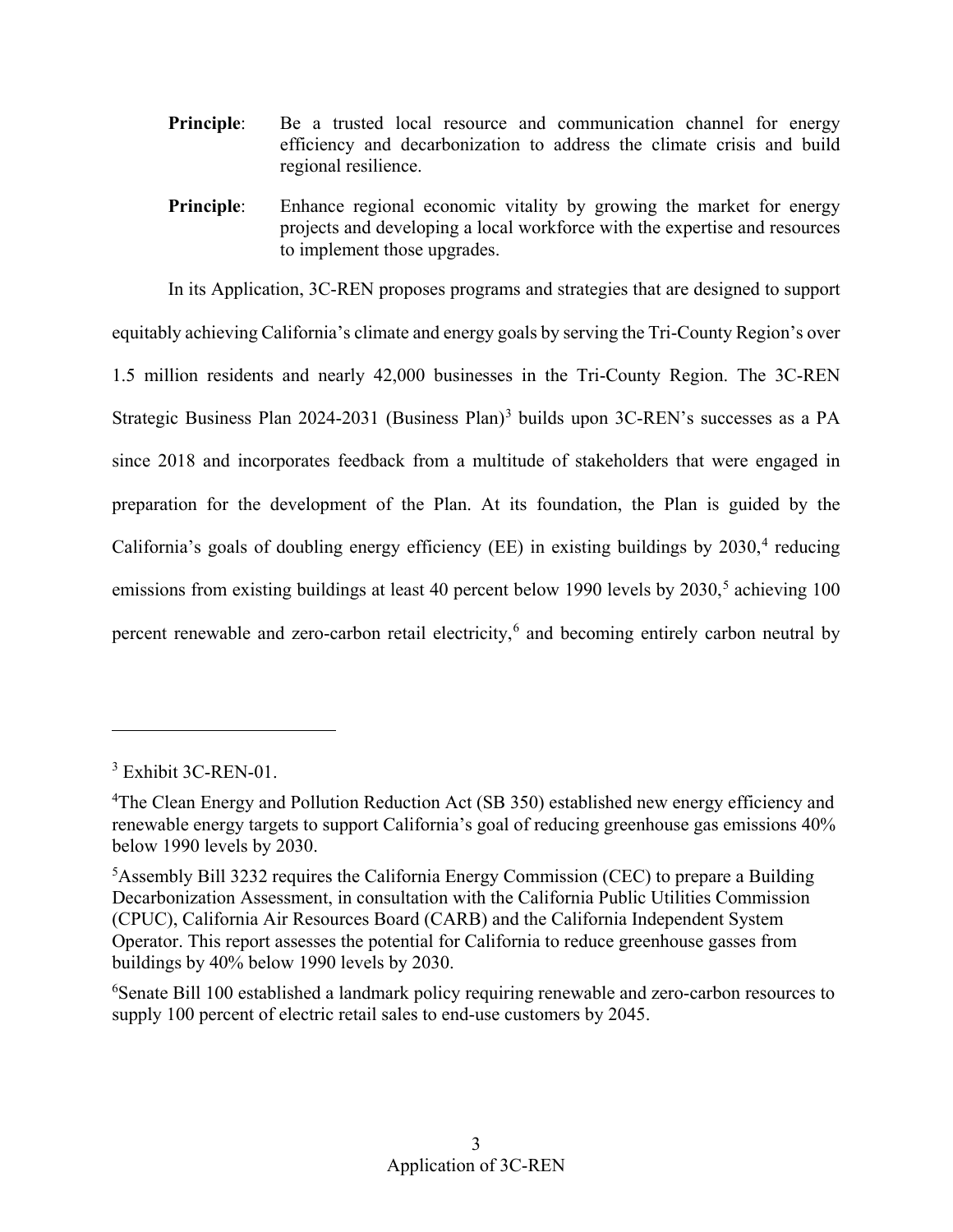- regional resilience. **Principle**: Be a trusted local resource and communication channel for energy efficiency and decarbonization to address the climate crisis and build
- **Principle:** Enhance regional economic vitality by growing the market for energy projects and developing a local workforce with the expertise and resources to implement those upgrades.

Strategic Business Plan 2024-2031 (Business Plan)<sup>3</sup> builds upon 3C-REN's successes as a PA California's goals of doubling energy efficiency (EE) in existing buildings by  $2030$ ,<sup>4</sup> reducing emissions from existing buildings at least 40 percent below 1990 levels by 2030,<sup>5</sup> achieving 100 In its Application, 3C-REN proposes programs and strategies that are designed to support equitably achieving California's climate and energy goals by serving the Tri-County Region's over 1.5 million residents and nearly 42,000 businesses in the Tri-County Region. The 3C-REN since 2018 and incorporates feedback from a multitude of stakeholders that were engaged in preparation for the development of the Plan. At its foundation, the Plan is guided by the percent renewable and zero-carbon retail electricity,<sup>6</sup> and becoming entirely carbon neutral by

 $\overline{a}$ 

<span id="page-5-3"></span><sup>6</sup>Senate Bill 100 established a landmark policy requiring renewable and zero-carbon resources to supply 100 percent of electric retail sales to end-use customers by 2045.

<span id="page-5-0"></span><sup>3</sup> Exhibit 3C-REN-01.

<span id="page-5-1"></span> renewable energy targets to support California's goal of reducing greenhouse gas emissions 40% <sup>4</sup>The Clean Energy and Pollution Reduction Act (SB 350) established new energy efficiency and below 1990 levels by 2030.

<span id="page-5-2"></span> buildings by 40% below 1990 levels by 2030. <sup>5</sup> Assembly Bill 3232 requires the California Energy Commission (CEC) to prepare a Building Decarbonization Assessment, in consultation with the California Public Utilities Commission (CPUC), California Air Resources Board (CARB) and the California Independent System Operator. This report assesses the potential for California to reduce greenhouse gasses from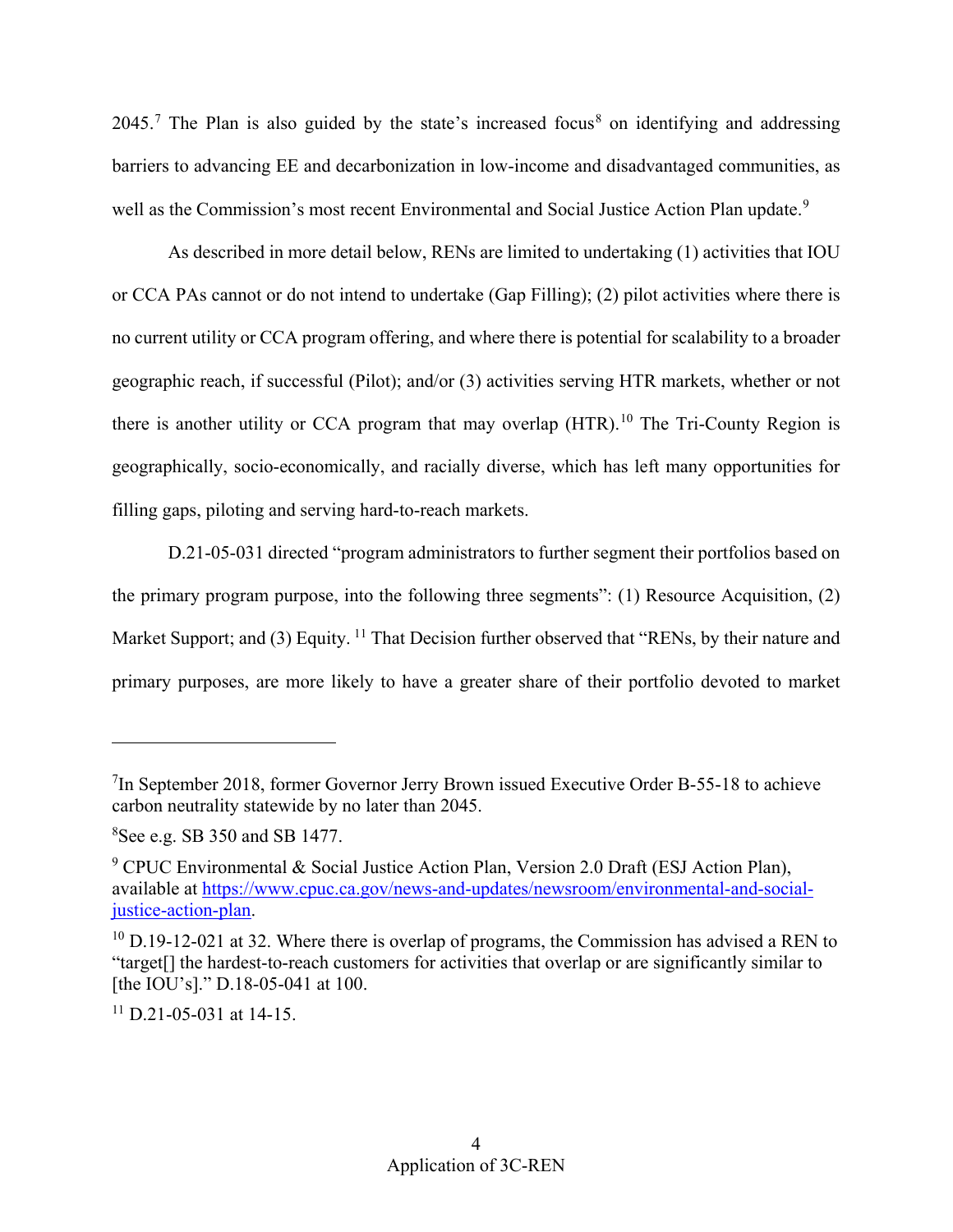well as the Commission's most recent Environmental and Social Justice Action Plan update.<sup>[9](#page-6-2)</sup>  $2045<sup>7</sup>$  $2045<sup>7</sup>$  $2045<sup>7</sup>$  The Plan is also guided by the state's increased focus<sup>8</sup> on identifying and addressing barriers to advancing EE and decarbonization in low-income and disadvantaged communities, as

 no current utility or CCA program offering, and where there is potential for scalability to a broader there is another utility or CCA program that may overlap  $(HTR)$ .<sup>10</sup> The Tri-County Region is As described in more detail below, RENs are limited to undertaking (1) activities that IOU or CCA PAs cannot or do not intend to undertake (Gap Filling); (2) pilot activities where there is geographic reach, if successful (Pilot); and/or (3) activities serving HTR markets, whether or not geographically, socio-economically, and racially diverse, which has left many opportunities for filling gaps, piloting and serving hard-to-reach markets.

D.21-05-031 directed "program administrators to further segment their portfolios based on the primary program purpose, into the following three segments": (1) Resource Acquisition, (2) Market Support; and (3) Equity.  $^{11}$  That Decision further observed that "RENs, by their nature and primary purposes, are more likely to have a greater share of their portfolio devoted to market

<span id="page-6-0"></span><sup>&</sup>lt;sup>7</sup>In September 2018, former Governor Jerry Brown issued Executive Order B-55-18 to achieve carbon neutrality statewide by no later than 2045.

<span id="page-6-1"></span><sup>8</sup> See e.g. SB 350 and SB 1477.

<span id="page-6-2"></span><sup>&</sup>lt;sup>9</sup> CPUC Environmental & Social Justice Action Plan, Version 2.0 Draft (ESJ Action Plan), available at [https://www.cpuc.ca.gov/news-and-updates/newsroom/environmental-and-social](https://www.cpuc.ca.gov/news-and-updates/newsroom/environmental-and-social-justice-action-plan)[justice-action-plan.](https://www.cpuc.ca.gov/news-and-updates/newsroom/environmental-and-social-justice-action-plan)

<span id="page-6-3"></span> $10$  D.19-12-021 at 32. Where there is overlap of programs, the Commission has advised a REN to "target[] the hardest-to-reach customers for activities that overlap or are significantly similar to [the IOU's]." D.18-05-041 at 100.

<span id="page-6-4"></span> $11$  D.21-05-031 at 14-15.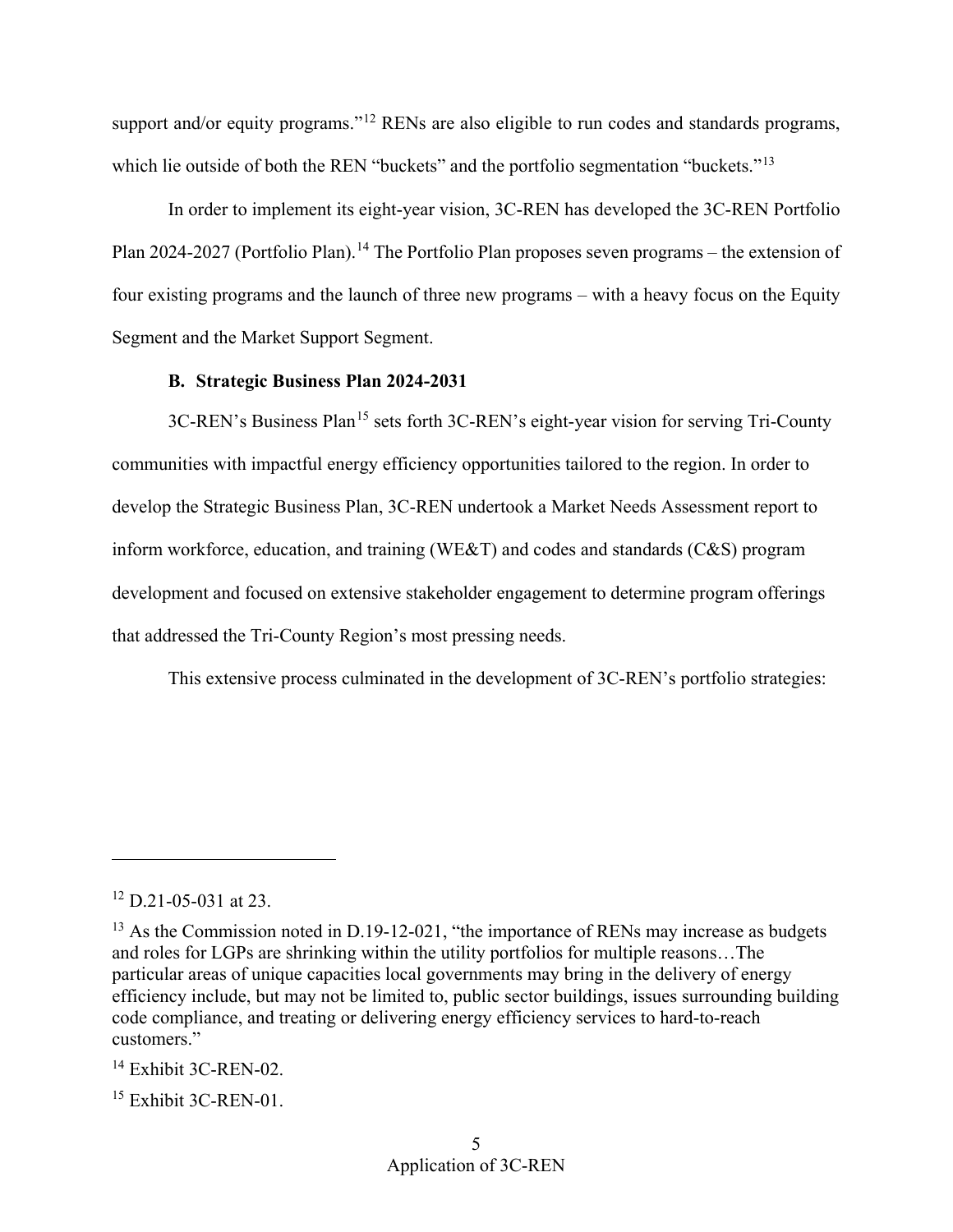support and/or equity programs."<sup>12</sup> RENs are also eligible to run codes and standards programs, which lie outside of both the REN "buckets" and the portfolio segmentation "buckets."<sup>[13](#page-7-2)</sup>

Plan 2024-2027 (Portfolio Plan).<sup>[14](#page-7-3)</sup> The Portfolio Plan proposes seven programs – the extension of In order to implement its eight-year vision, 3C-REN has developed the 3C-REN Portfolio four existing programs and the launch of three new programs – with a heavy focus on the Equity Segment and the Market Support Segment.

## **B. Strategic Business Plan 2024-2031**

<span id="page-7-0"></span> develop the Strategic Business Plan, 3C-REN undertook a Market Needs Assessment report to 3C-REN's Business Plan<sup>[15](#page-7-4)</sup> sets forth 3C-REN's eight-year vision for serving Tri-County communities with impactful energy efficiency opportunities tailored to the region. In order to inform workforce, education, and training (WE&T) and codes and standards (C&S) program development and focused on extensive stakeholder engagement to determine program offerings that addressed the Tri-County Region's most pressing needs.

This extensive process culminated in the development of 3C-REN's portfolio strategies:

<u>.</u>

<span id="page-7-4"></span> $15$  Exhibit 3C-REN-01.

<span id="page-7-1"></span> $12$  D.21-05-031 at 23.

<span id="page-7-2"></span> and roles for LGPs are shrinking within the utility portfolios for multiple reasons…The  $13$  As the Commission noted in D.19-12-021, "the importance of RENs may increase as budgets particular areas of unique capacities local governments may bring in the delivery of energy efficiency include, but may not be limited to, public sector buildings, issues surrounding building code compliance, and treating or delivering energy efficiency services to hard-to-reach customers."

<span id="page-7-3"></span> $14$  Exhibit 3C-REN-02.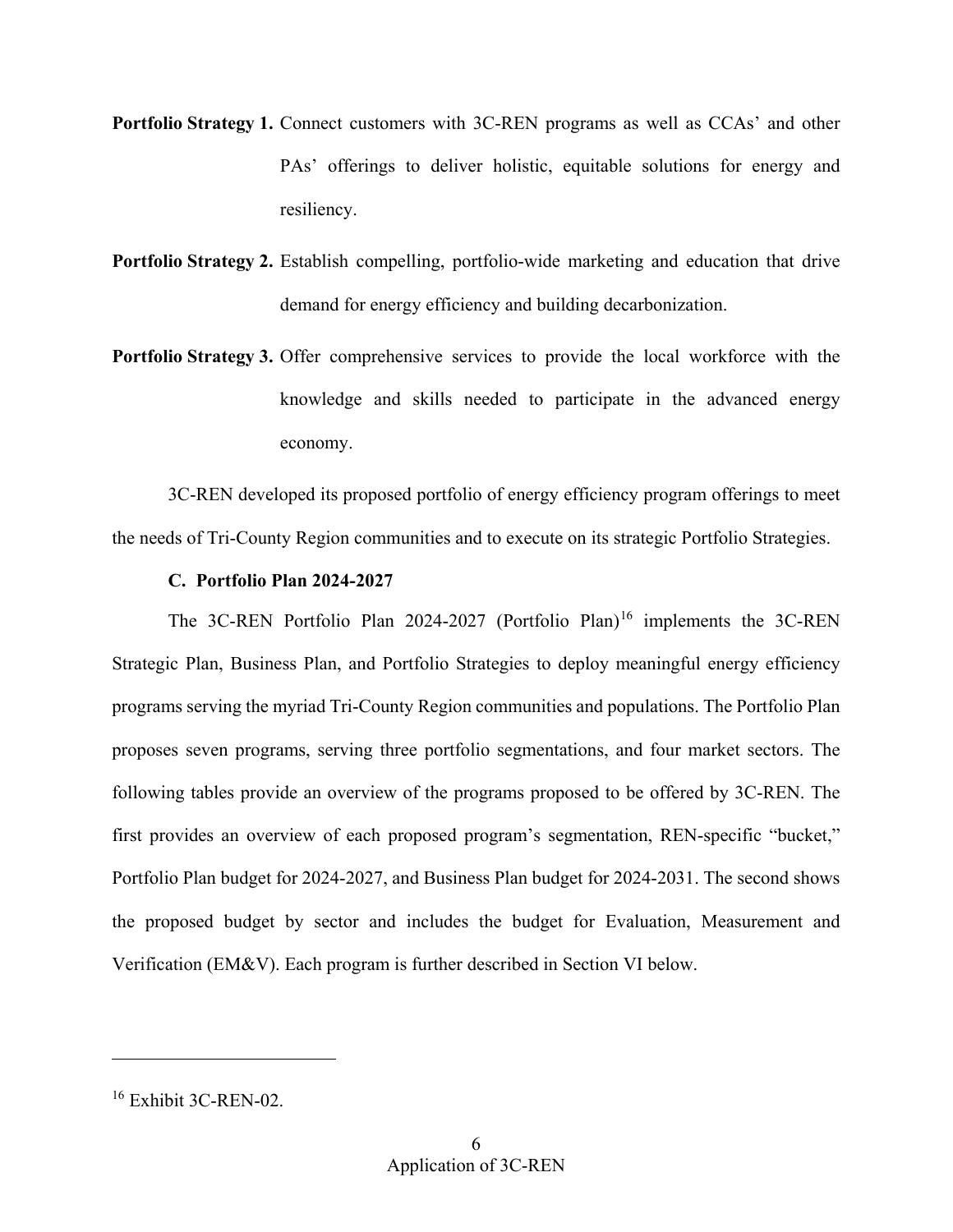- **Portfolio Strategy 1.** Connect customers with 3C-REN programs as well as CCAs' and other PAs' offerings to deliver holistic, equitable solutions for energy and resiliency.
- Portfolio Strategy 2. Establish compelling, portfolio-wide marketing and education that drive demand for energy efficiency and building decarbonization.
- **Portfolio Strategy 3.** Offer comprehensive services to provide the local workforce with the knowledge and skills needed to participate in the advanced energy economy.

3C-REN developed its proposed portfolio of energy efficiency program offerings to meet the needs of Tri-County Region communities and to execute on its strategic Portfolio Strategies.

## **C. Portfolio Plan 2024-2027**

<span id="page-8-0"></span> proposes seven programs, serving three portfolio segmentations, and four market sectors. The following tables provide an overview of the programs proposed to be offered by 3C-REN. The the proposed budget by sector and includes the budget for Evaluation, Measurement and The 3C-REN Portfolio Plan 2024-2027 (Portfolio Plan)<sup>16</sup> implements the 3C-REN Strategic Plan, Business Plan, and Portfolio Strategies to deploy meaningful energy efficiency programs serving the myriad Tri-County Region communities and populations. The Portfolio Plan first provides an overview of each proposed program's segmentation, REN-specific "bucket," Portfolio Plan budget for 2024-2027, and Business Plan budget for 2024-2031. The second shows Verification (EM&V). Each program is further described in Section VI below.

<u>.</u>

<span id="page-8-1"></span><sup>&</sup>lt;sup>16</sup> Exhibit 3C-REN-02.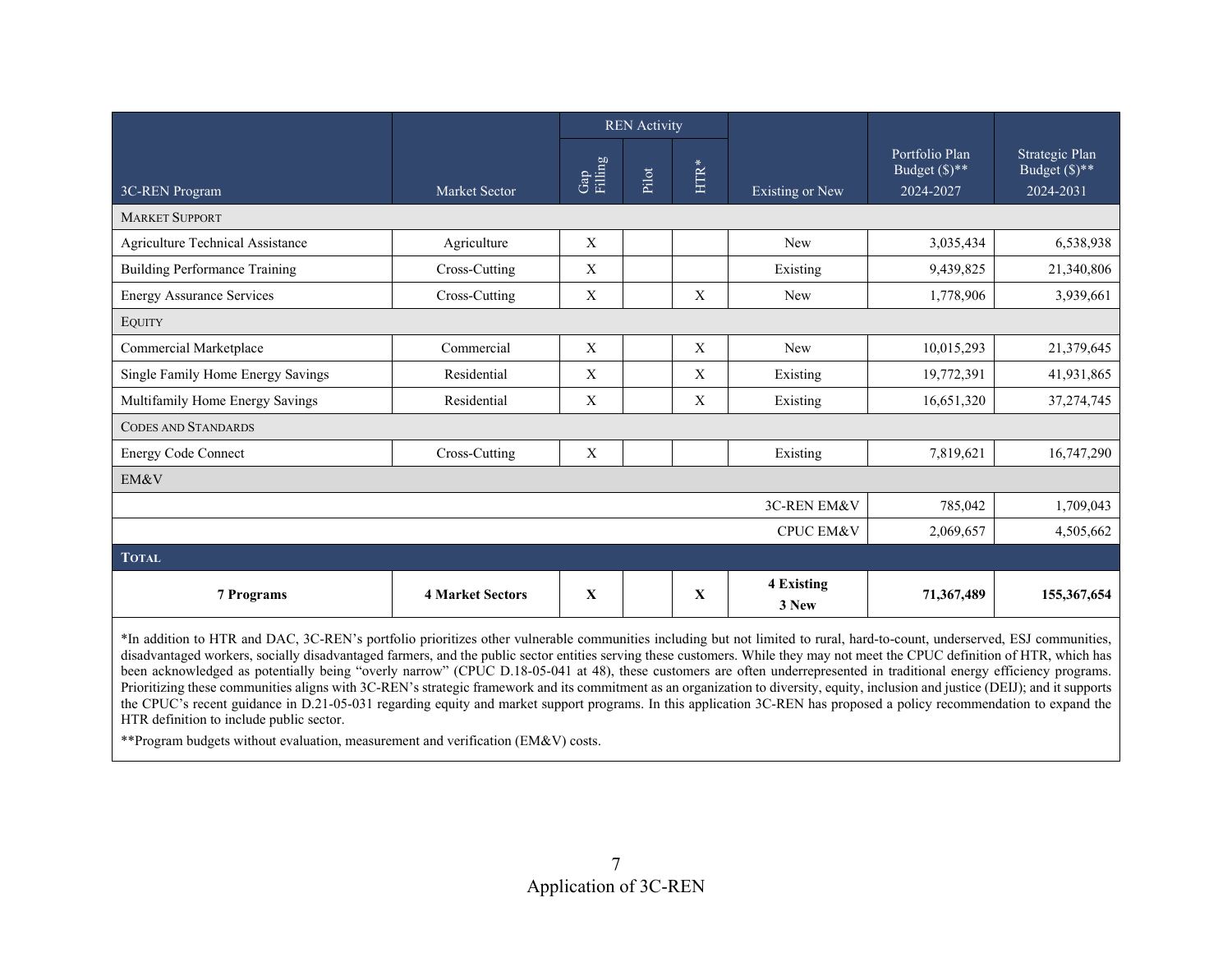|                                                                                                                                                                                                                                                                                                                                                                                                                                                                                                                                                                                                                                                                                                                                                                                                                                                                                                                                                                                                                                    |                         | <b>REN</b> Activity |       |              |                      |                                                   |                                                   |
|------------------------------------------------------------------------------------------------------------------------------------------------------------------------------------------------------------------------------------------------------------------------------------------------------------------------------------------------------------------------------------------------------------------------------------------------------------------------------------------------------------------------------------------------------------------------------------------------------------------------------------------------------------------------------------------------------------------------------------------------------------------------------------------------------------------------------------------------------------------------------------------------------------------------------------------------------------------------------------------------------------------------------------|-------------------------|---------------------|-------|--------------|----------------------|---------------------------------------------------|---------------------------------------------------|
| 3C-REN Program                                                                                                                                                                                                                                                                                                                                                                                                                                                                                                                                                                                                                                                                                                                                                                                                                                                                                                                                                                                                                     | Market Sector           | Gap<br>Filling      | Pilot | <b>HTR*</b>  | Existing or New      | Portfolio Plan<br>Budget $(\$)^{**}$<br>2024-2027 | Strategic Plan<br>Budget $(\$)^{**}$<br>2024-2031 |
| <b>MARKET SUPPORT</b>                                                                                                                                                                                                                                                                                                                                                                                                                                                                                                                                                                                                                                                                                                                                                                                                                                                                                                                                                                                                              |                         |                     |       |              |                      |                                                   |                                                   |
| Agriculture Technical Assistance                                                                                                                                                                                                                                                                                                                                                                                                                                                                                                                                                                                                                                                                                                                                                                                                                                                                                                                                                                                                   | Agriculture             | $\mathbf X$         |       |              | <b>New</b>           | 3,035,434                                         | 6,538,938                                         |
| <b>Building Performance Training</b>                                                                                                                                                                                                                                                                                                                                                                                                                                                                                                                                                                                                                                                                                                                                                                                                                                                                                                                                                                                               | Cross-Cutting           | $\mathbf X$         |       |              | Existing             | 9,439,825                                         | 21,340,806                                        |
| <b>Energy Assurance Services</b>                                                                                                                                                                                                                                                                                                                                                                                                                                                                                                                                                                                                                                                                                                                                                                                                                                                                                                                                                                                                   | Cross-Cutting           | $\mathbf X$         |       | $\mathbf X$  | New                  | 1,778,906                                         | 3,939,661                                         |
| <b>EQUITY</b>                                                                                                                                                                                                                                                                                                                                                                                                                                                                                                                                                                                                                                                                                                                                                                                                                                                                                                                                                                                                                      |                         |                     |       |              |                      |                                                   |                                                   |
| Commercial Marketplace                                                                                                                                                                                                                                                                                                                                                                                                                                                                                                                                                                                                                                                                                                                                                                                                                                                                                                                                                                                                             | Commercial              | $\mathbf X$         |       | $\mathbf X$  | New                  | 10,015,293                                        | 21,379,645                                        |
| Single Family Home Energy Savings                                                                                                                                                                                                                                                                                                                                                                                                                                                                                                                                                                                                                                                                                                                                                                                                                                                                                                                                                                                                  | Residential             | $\mathbf X$         |       | X            | Existing             | 19,772,391                                        | 41,931,865                                        |
| Multifamily Home Energy Savings                                                                                                                                                                                                                                                                                                                                                                                                                                                                                                                                                                                                                                                                                                                                                                                                                                                                                                                                                                                                    | Residential             | $\mathbf X$         |       | $\mathbf X$  | Existing             | 16,651,320                                        | 37, 274, 745                                      |
| <b>CODES AND STANDARDS</b>                                                                                                                                                                                                                                                                                                                                                                                                                                                                                                                                                                                                                                                                                                                                                                                                                                                                                                                                                                                                         |                         |                     |       |              |                      |                                                   |                                                   |
| <b>Energy Code Connect</b>                                                                                                                                                                                                                                                                                                                                                                                                                                                                                                                                                                                                                                                                                                                                                                                                                                                                                                                                                                                                         | Cross-Cutting           | $\mathbf X$         |       |              | Existing             | 7,819,621                                         | 16,747,290                                        |
| EM&V                                                                                                                                                                                                                                                                                                                                                                                                                                                                                                                                                                                                                                                                                                                                                                                                                                                                                                                                                                                                                               |                         |                     |       |              |                      |                                                   |                                                   |
|                                                                                                                                                                                                                                                                                                                                                                                                                                                                                                                                                                                                                                                                                                                                                                                                                                                                                                                                                                                                                                    |                         |                     |       |              | 3C-REN EM&V          | 785,042                                           | 1,709,043                                         |
|                                                                                                                                                                                                                                                                                                                                                                                                                                                                                                                                                                                                                                                                                                                                                                                                                                                                                                                                                                                                                                    |                         |                     |       |              | <b>CPUC EM&amp;V</b> | 2,069,657                                         | 4,505,662                                         |
| <b>TOTAL</b>                                                                                                                                                                                                                                                                                                                                                                                                                                                                                                                                                                                                                                                                                                                                                                                                                                                                                                                                                                                                                       |                         |                     |       |              |                      |                                                   |                                                   |
| <b>7 Programs</b>                                                                                                                                                                                                                                                                                                                                                                                                                                                                                                                                                                                                                                                                                                                                                                                                                                                                                                                                                                                                                  | <b>4 Market Sectors</b> | $\mathbf{x}$        |       | $\mathbf{X}$ | 4 Existing<br>3 New  | 71,367,489                                        | 155,367,654                                       |
| *In addition to HTR and DAC, 3C-REN's portfolio prioritizes other vulnerable communities including but not limited to rural, hard-to-count, underserved, ESJ communities,<br>disadvantaged workers, socially disadvantaged farmers, and the public sector entities serving these customers. While they may not meet the CPUC definition of HTR, which has<br>been acknowledged as potentially being "overly narrow" (CPUC D.18-05-041 at 48), these customers are often underrepresented in traditional energy efficiency programs.<br>Prioritizing these communities aligns with 3C-REN's strategic framework and its commitment as an organization to diversity, equity, inclusion and justice (DEIJ); and it supports<br>the CPUC's recent guidance in D.21-05-031 regarding equity and market support programs. In this application 3C-REN has proposed a policy recommendation to expand the<br>HTR definition to include public sector.<br>** Program budgets without evaluation, measurement and verification (EM&V) costs. |                         |                     |       |              |                      |                                                   |                                                   |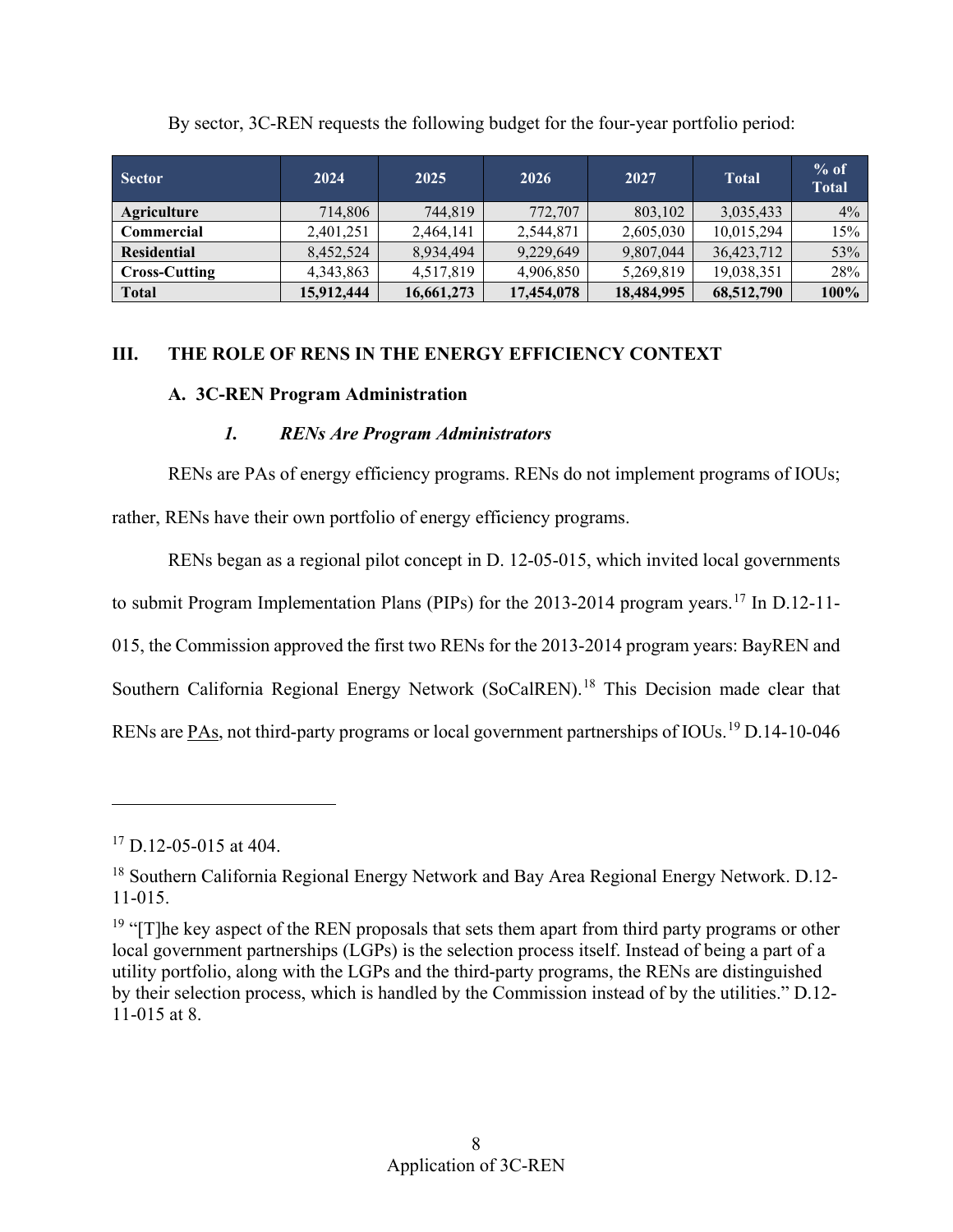| <b>Sector</b>        | 2024       | 2025       | 2026       | 2027       | <b>Total</b> | $%$ of<br><b>Total</b> |
|----------------------|------------|------------|------------|------------|--------------|------------------------|
| Agriculture          | 714,806    | 744,819    | 772,707    | 803,102    | 3,035,433    | $4\%$                  |
| Commercial           | 2,401,251  | 2.464.141  | 2,544,871  | 2,605,030  | 10,015,294   | 15%                    |
| <b>Residential</b>   | 8,452,524  | 8,934,494  | 9,229,649  | 9,807,044  | 36,423,712   | 53%                    |
| <b>Cross-Cutting</b> | 4,343,863  | 4,517,819  | 4,906,850  | 5,269,819  | 19,038,351   | 28%                    |
| <b>Total</b>         | 15,912,444 | 16,661,273 | 17,454,078 | 18,484,995 | 68,512,790   | 100%                   |

By sector, 3C-REN requests the following budget for the four-year portfolio period:

# <span id="page-10-1"></span><span id="page-10-0"></span>**III. THE ROLE OF RENS IN THE ENERGY EFFICIENCY CONTEXT**

## **A. 3C-REN Program Administration**

# *1. RENs Are Program Administrators*

<span id="page-10-2"></span> RENs are PAs of energy efficiency programs. RENs do not implement programs of IOUs; rather, RENs have their own portfolio of energy efficiency programs.

RENs are PAs, not third-party programs or local government partnerships of IOUs.<sup>19</sup> D.14-10-046 RENs began as a regional pilot concept in D. 12-05-015, which invited local governments to submit Program Implementation Plans (PIPs) for the 2013-2014 program years.<sup>[17](#page-10-3)</sup> In D.12-11-015, the Commission approved the first two RENs for the 2013-2014 program years: BayREN and Southern California Regional Energy Network (SoCalREN).<sup>18</sup> This Decision made clear that

<span id="page-10-3"></span> $17$  D.12-05-015 at 404.

<span id="page-10-4"></span><sup>&</sup>lt;sup>18</sup> Southern California Regional Energy Network and Bay Area Regional Energy Network. D.12-11-015.

<span id="page-10-5"></span><sup>&</sup>lt;sup>19</sup> "[T]he key aspect of the REN proposals that sets them apart from third party programs or other local government partnerships (LGPs) is the selection process itself. Instead of being a part of a utility portfolio, along with the LGPs and the third-party programs, the RENs are distinguished by their selection process, which is handled by the Commission instead of by the utilities." D.12- 11-015 at 8.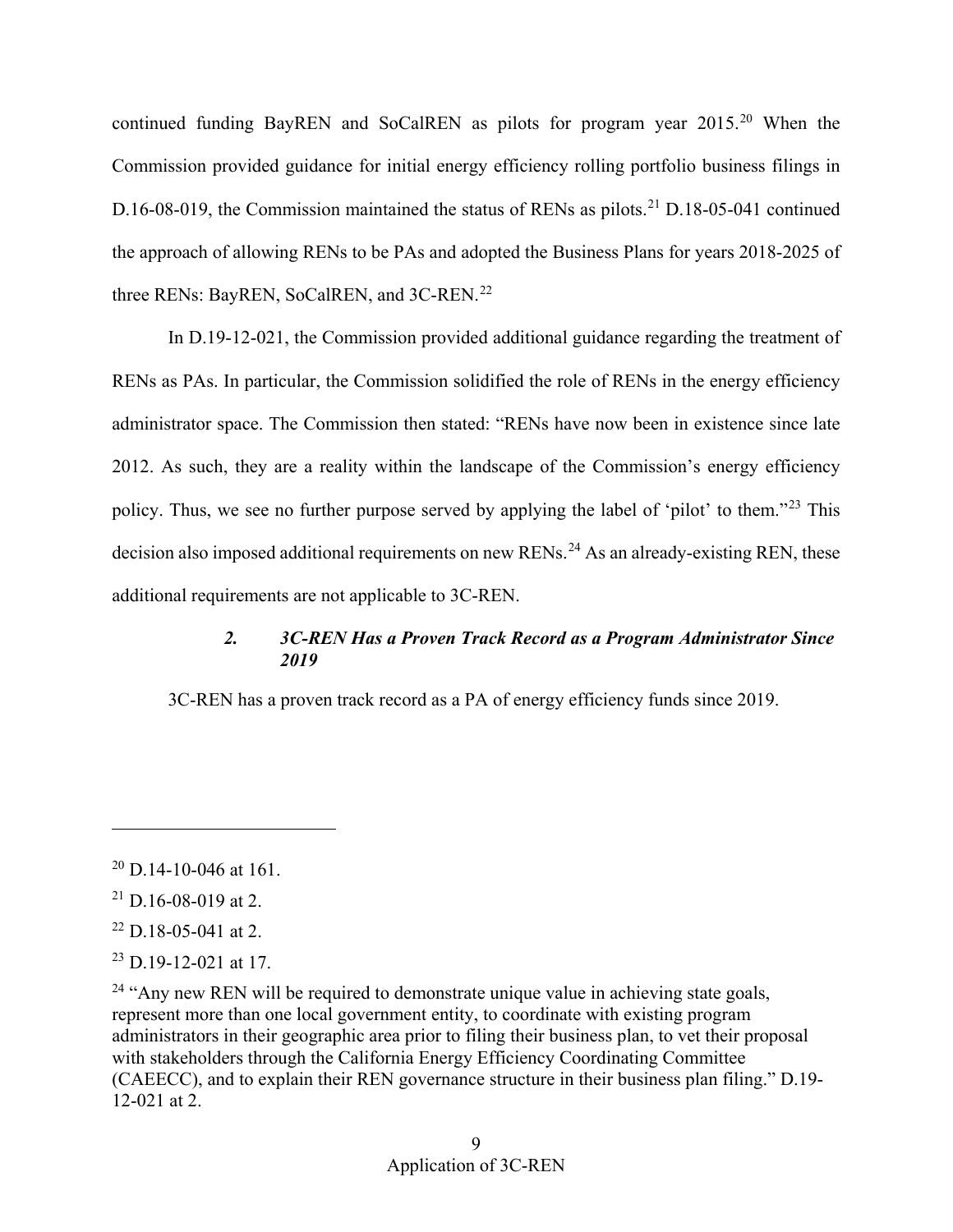three RENs: BayREN, SoCalREN, and 3C-REN.<sup>[22](#page-11-3)</sup> continued funding BayREN and SoCalREN as pilots for program year 2015.<sup>20</sup> When the Commission provided guidance for initial energy efficiency rolling portfolio business filings in D.16-08-019, the Commission maintained the status of RENs as pilots.<sup>[21](#page-11-2)</sup> D.18-05-041 continued the approach of allowing RENs to be PAs and adopted the Business Plans for years 2018-2025 of

 additional requirements are not applicable to 3C-REN. In D.19-12-021, the Commission provided additional guidance regarding the treatment of RENs as PAs. In particular, the Commission solidified the role of RENs in the energy efficiency administrator space. The Commission then stated: "RENs have now been in existence since late 2012. As such, they are a reality within the landscape of the Commission's energy efficiency policy. Thus, we see no further purpose served by applying the label of 'pilot' to them."[23](#page-11-4) This decision also imposed additional requirements on new RENs.<sup>[24](#page-11-5)</sup> As an already-existing REN, these

# *2. 3C-REN Has a Proven Track Record as a Program Administrator Since 2019*

<span id="page-11-0"></span>3C-REN has a proven track record as a PA of energy efficiency funds since 2019.

<u>.</u>

<span id="page-11-1"></span> $20$  D.14-10-046 at 161.

<span id="page-11-2"></span> $21$  D.16-08-019 at 2.

<span id="page-11-3"></span> $22$  D.18-05-041 at 2.

<span id="page-11-4"></span> $^{23}$  D.19-12-021 at 17.

<span id="page-11-5"></span> (CAEECC), and to explain their REN governance structure in their business plan filing." D.19-  $24$  "Any new REN will be required to demonstrate unique value in achieving state goals, represent more than one local government entity, to coordinate with existing program administrators in their geographic area prior to filing their business plan, to vet their proposal with stakeholders through the California Energy Efficiency Coordinating Committee 12-021 at 2.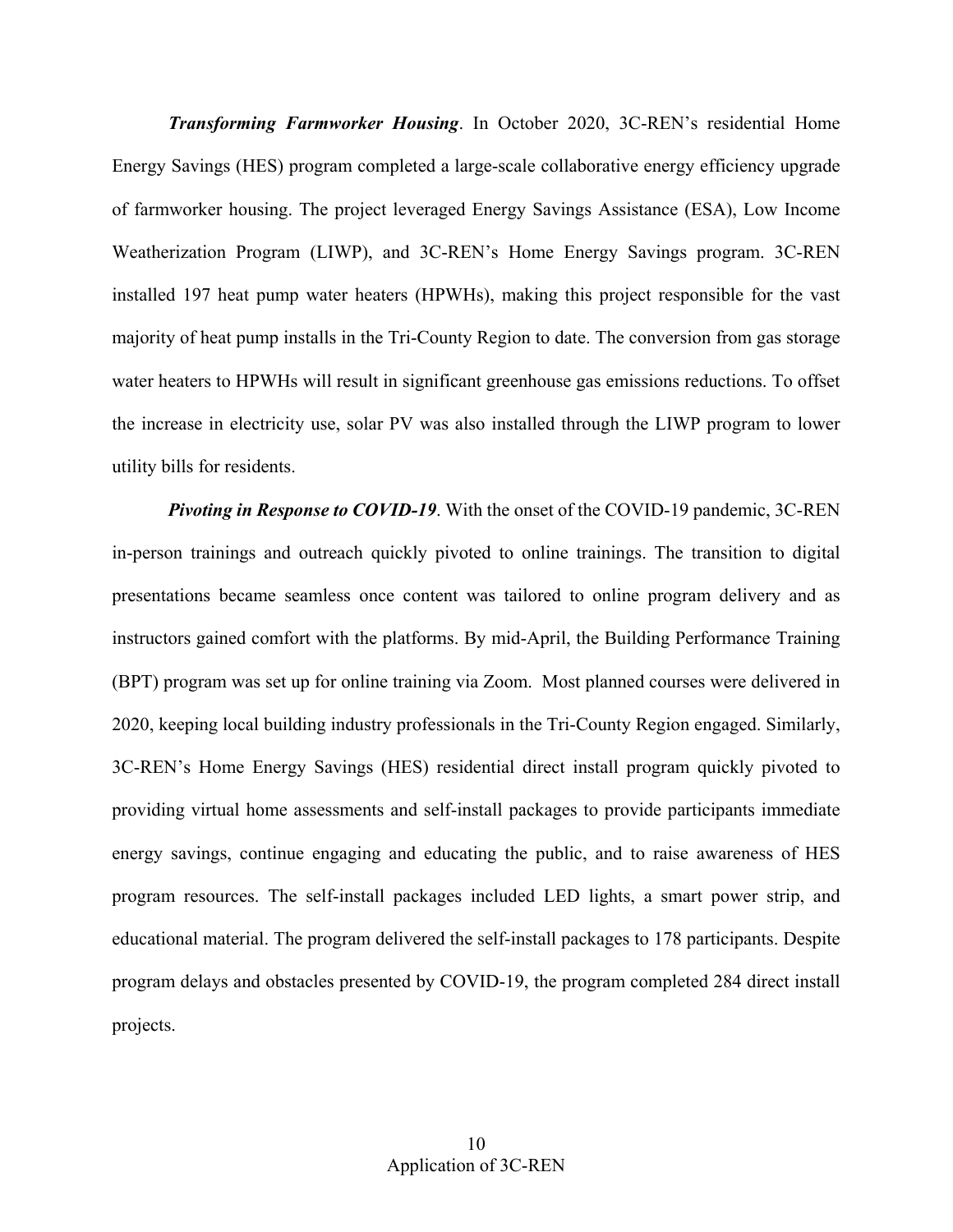water heaters to HPWHs will result in significant greenhouse gas emissions reductions. To offset *Transforming Farmworker Housing*. In October 2020, 3C-REN's residential Home Energy Savings (HES) program completed a large-scale collaborative energy efficiency upgrade of farmworker housing. The project leveraged Energy Savings Assistance (ESA), Low Income Weatherization Program (LIWP), and 3C-REN's Home Energy Savings program. 3C-REN installed 197 heat pump water heaters (HPWHs), making this project responsible for the vast majority of heat pump installs in the Tri-County Region to date. The conversion from gas storage the increase in electricity use, solar PV was also installed through the LIWP program to lower utility bills for residents.

 (BPT) program was set up for online training via Zoom. Most planned courses were delivered in *Pivoting in Response to COVID-19*. With the onset of the COVID-19 pandemic, 3C-REN in-person trainings and outreach quickly pivoted to online trainings. The transition to digital presentations became seamless once content was tailored to online program delivery and as instructors gained comfort with the platforms. By mid-April, the Building Performance Training 2020, keeping local building industry professionals in the Tri-County Region engaged. Similarly, 3C-REN's Home Energy Savings (HES) residential direct install program quickly pivoted to providing virtual home assessments and self-install packages to provide participants immediate energy savings, continue engaging and educating the public, and to raise awareness of HES program resources. The self-install packages included LED lights, a smart power strip, and educational material. The program delivered the self-install packages to 178 participants. Despite program delays and obstacles presented by COVID-19, the program completed 284 direct install projects.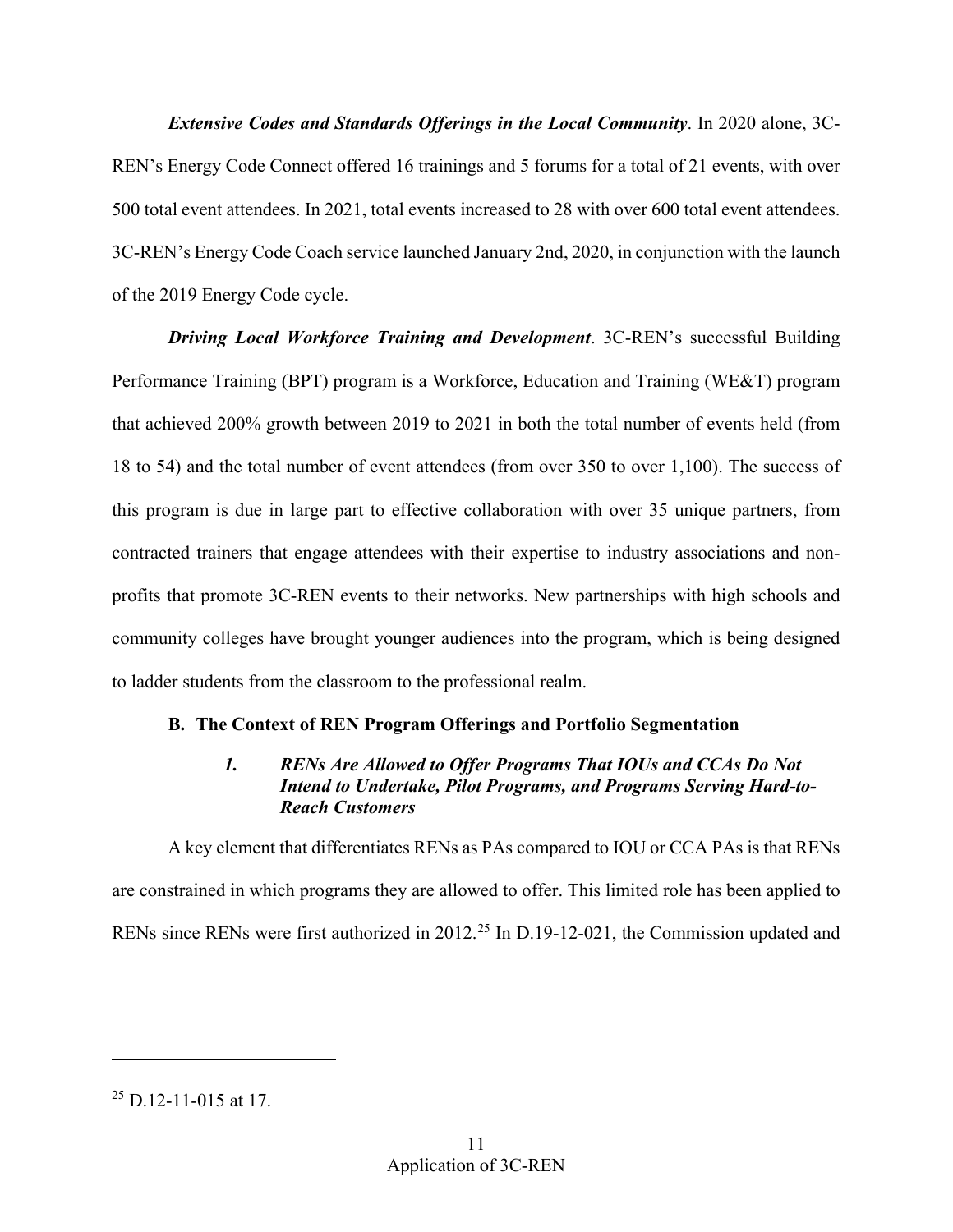3C-REN's Energy Code Coach service launched January 2nd, 2020, in conjunction with the launch *Extensive Codes and Standards Offerings in the Local Community*. In 2020 alone, 3C-REN's Energy Code Connect offered 16 trainings and 5 forums for a total of 21 events, with over 500 total event attendees. In 2021, total events increased to 28 with over 600 total event attendees. of the 2019 Energy Code cycle.

*Driving Local Workforce Training and Development*. 3C-REN's successful Building Performance Training (BPT) program is a Workforce, Education and Training (WE&T) program that achieved 200% growth between 2019 to 2021 in both the total number of events held (from 18 to 54) and the total number of event attendees (from over 350 to over 1,100). The success of this program is due in large part to effective collaboration with over 35 unique partners, from contracted trainers that engage attendees with their expertise to industry associations and nonprofits that promote 3C-REN events to their networks. New partnerships with high schools and community colleges have brought younger audiences into the program, which is being designed to ladder students from the classroom to the professional realm.

# <span id="page-13-1"></span><span id="page-13-0"></span>**B. The Context of REN Program Offerings and Portfolio Segmentation**

# *1. RENs Are Allowed to Offer Programs That IOUs and CCAs Do Not Intend to Undertake, Pilot Programs, and Programs Serving Hard-to-Reach Customers*

 A key element that differentiates RENs as PAs compared to IOU or CCA PAs is that RENs RENs since RENs were first authorized in 2012.<sup>[25](#page-13-2)</sup> In D.19-12-021, the Commission updated and are constrained in which programs they are allowed to offer. This limited role has been applied to

<span id="page-13-2"></span> $^{25}$  D.12-11-015 at 17.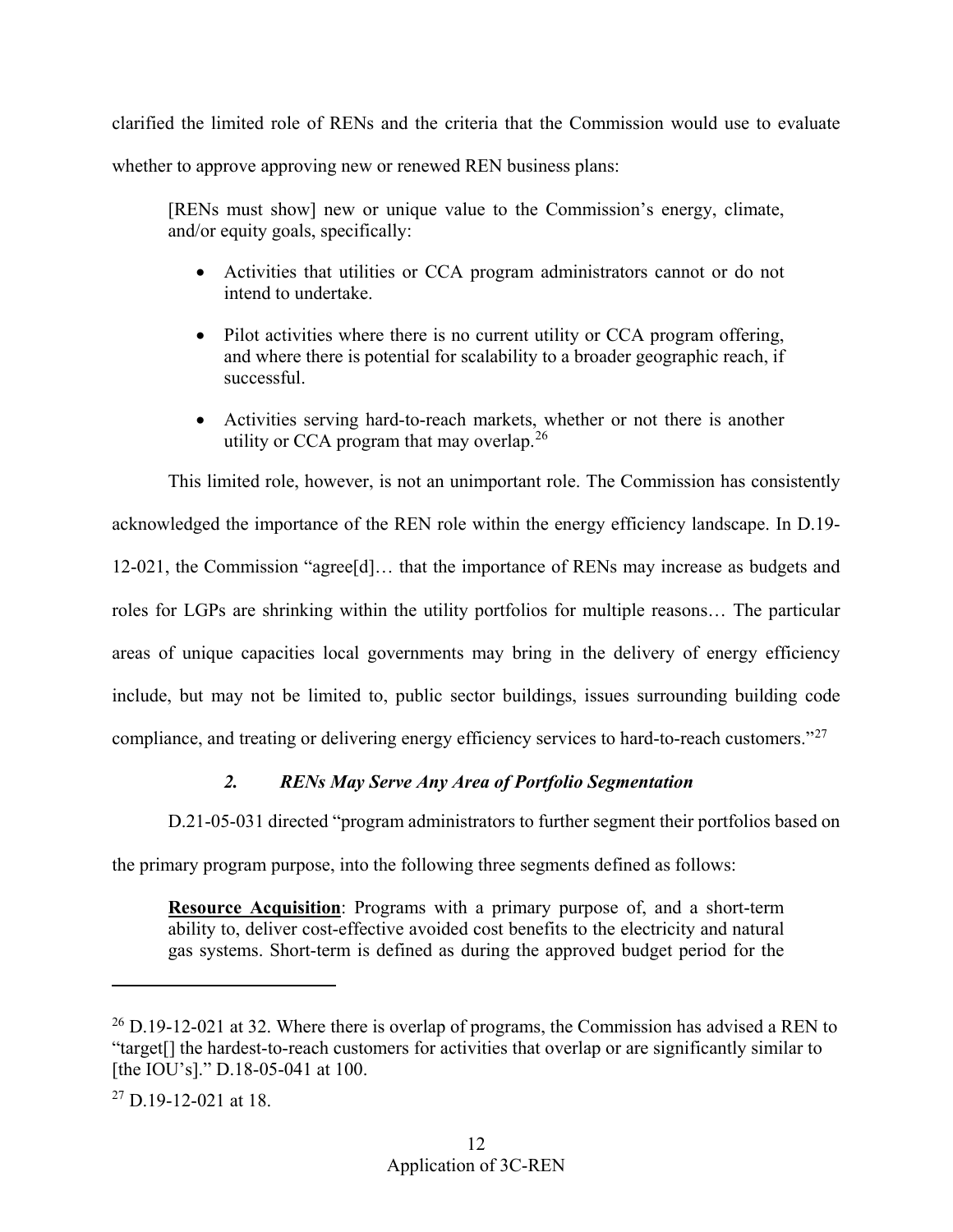clarified the limited role of RENs and the criteria that the Commission would use to evaluate whether to approve approving new or renewed REN business plans:

 and/or equity goals, specifically: [RENs must show] new or unique value to the Commission's energy, climate,

- Activities that utilities or CCA program administrators cannot or do not intend to undertake.
- Pilot activities where there is no current utility or CCA program offering, and where there is potential for scalability to a broader geographic reach, if successful.
- Activities serving hard-to-reach markets, whether or not there is another utility or CCA program that may overlap.<sup>[26](#page-14-1)</sup>

 acknowledged the importance of the REN role within the energy efficiency landscape. In D.19- This limited role, however, is not an unimportant role. The Commission has consistently 12-021, the Commission "agree[d]… that the importance of RENs may increase as budgets and roles for LGPs are shrinking within the utility portfolios for multiple reasons… The particular areas of unique capacities local governments may bring in the delivery of energy efficiency include, but may not be limited to, public sector buildings, issues surrounding building code compliance, and treating or delivering energy efficiency services to hard-to-reach customers."[27](#page-14-2) 

# *2. RENs May Serve Any Area of Portfolio Segmentation*

<span id="page-14-0"></span>D.21-05-031 directed "program administrators to further segment their portfolios based on

the primary program purpose, into the following three segments defined as follows:

**Resource Acquisition**: Programs with a primary purpose of, and a short-term ability to, deliver cost-effective avoided cost benefits to the electricity and natural gas systems. Short-term is defined as during the approved budget period for the

<span id="page-14-1"></span> $26$  D.19-12-021 at 32. Where there is overlap of programs, the Commission has advised a REN to "target[] the hardest-to-reach customers for activities that overlap or are significantly similar to [the IOU's]." D.18-05-041 at 100.

<span id="page-14-2"></span> $27$  D.19-12-021 at 18.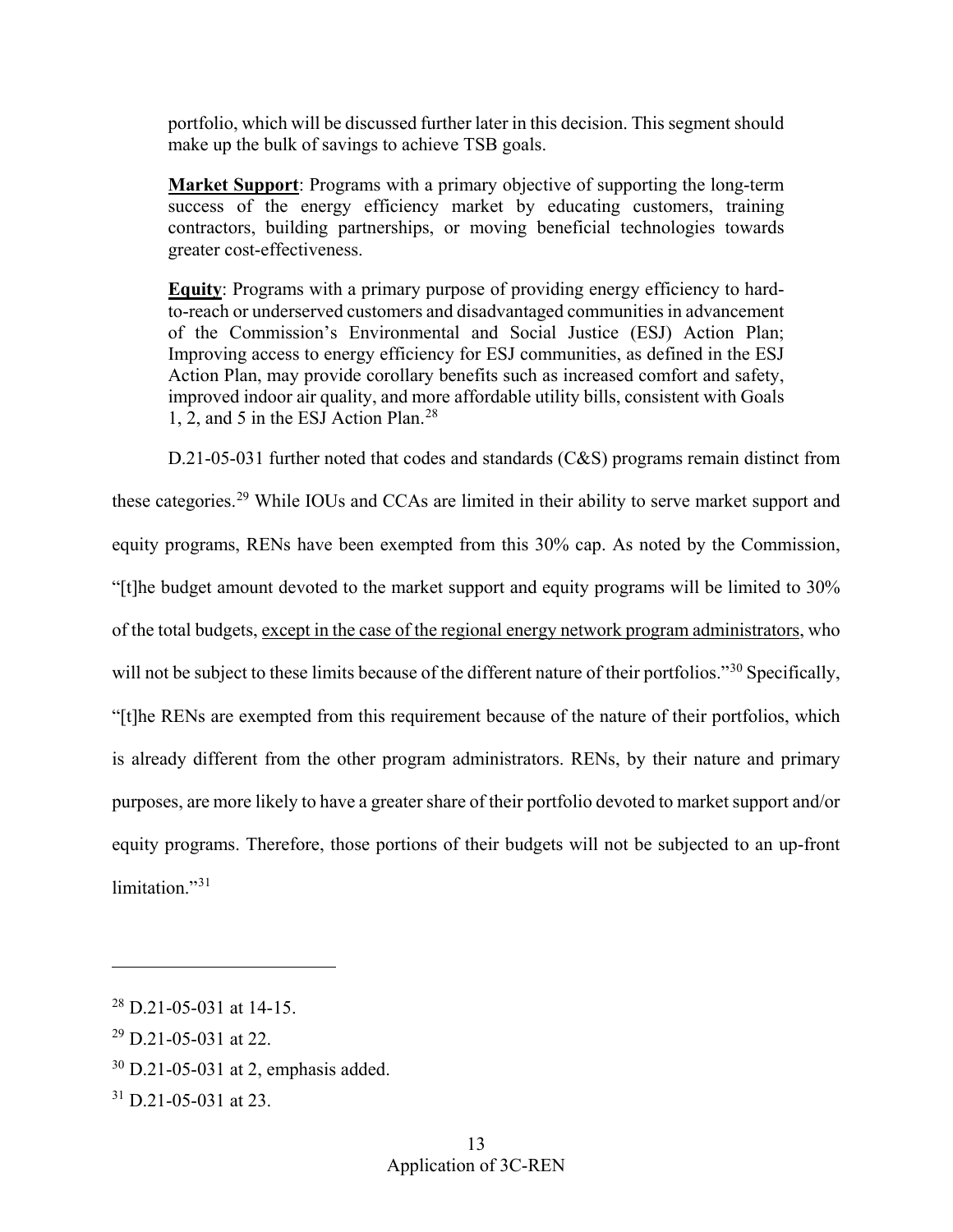portfolio, which will be discussed further later in this decision. This segment should make up the bulk of savings to achieve TSB goals.

**Market Support**: Programs with a primary objective of supporting the long-term success of the energy efficiency market by educating customers, training contractors, building partnerships, or moving beneficial technologies towards greater cost-effectiveness.

 improved indoor air quality, and more affordable utility bills, consistent with Goals 1, 2, and 5 in the ESJ Action Plan.[28](#page-15-0)  **Equity**: Programs with a primary purpose of providing energy efficiency to hardto-reach or underserved customers and disadvantaged communities in advancement of the Commission's Environmental and Social Justice (ESJ) Action Plan; Improving access to energy efficiency for ESJ communities, as defined in the ESJ Action Plan, may provide corollary benefits such as increased comfort and safety,

 equity programs. Therefore, those portions of their budgets will not be subjected to an up-front D.21-05-031 further noted that codes and standards (C&S) programs remain distinct from these categories.[29](#page-15-1) While IOUs and CCAs are limited in their ability to serve market support and equity programs, RENs have been exempted from this 30% cap. As noted by the Commission, "[t]he budget amount devoted to the market support and equity programs will be limited to 30% of the total budgets, except in the case of the regional energy network program administrators, who will not be subject to these limits because of the different nature of their portfolios."<sup>[30](#page-15-2)</sup> Specifically, "[t]he RENs are exempted from this requirement because of the nature of their portfolios, which is already different from the other program administrators. RENs, by their nature and primary purposes, are more likely to have a greater share of their portfolio devoted to market support and/or limitation."<sup>31</sup>

<span id="page-15-0"></span> $^{28}$  D.21-05-031 at 14-15.

<span id="page-15-1"></span> $29$  D.21-05-031 at 22.

<span id="page-15-2"></span><sup>30</sup> D.21-05-031 at 2, emphasis added.

<span id="page-15-3"></span><sup>31</sup> D.21-05-031 at 23.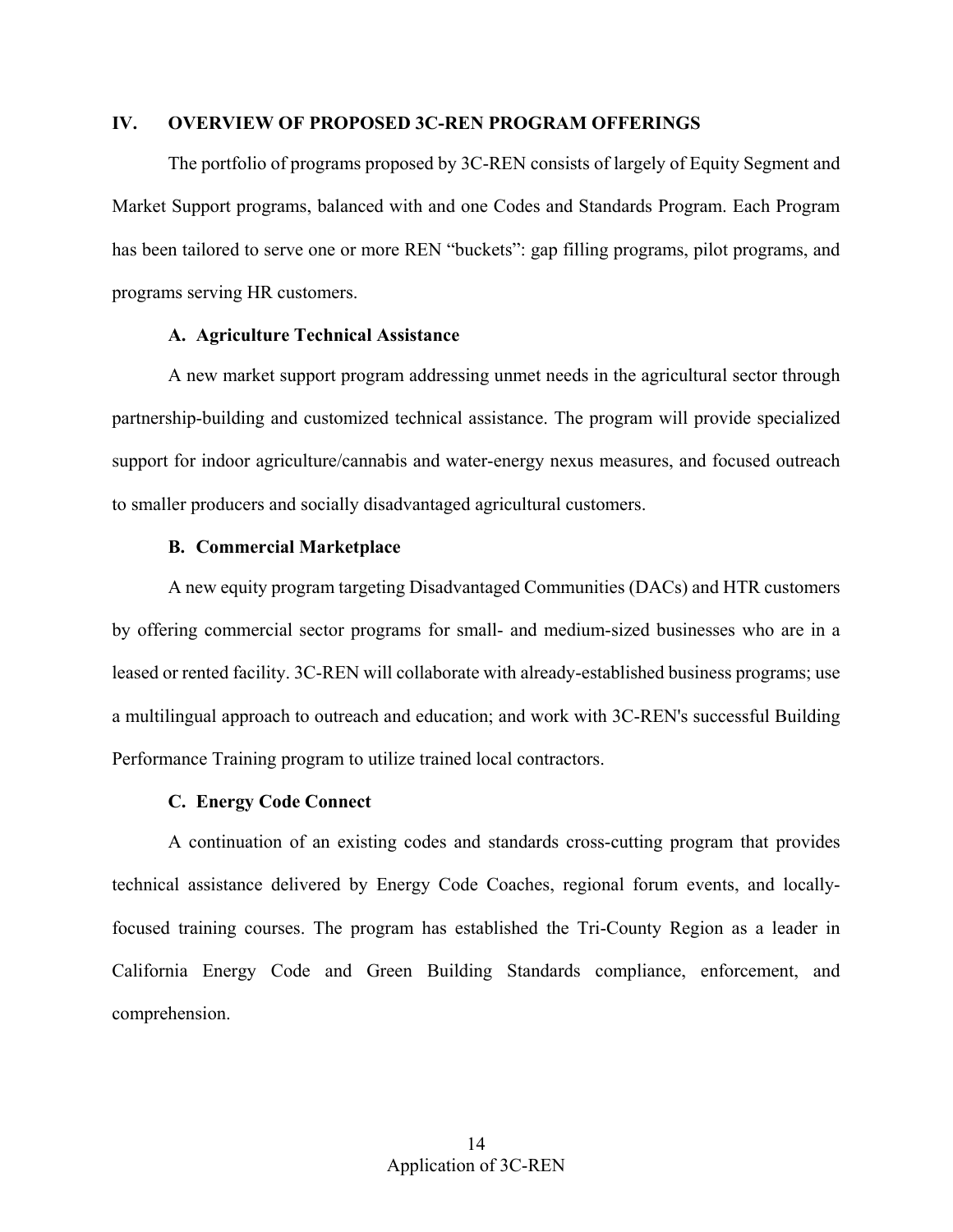## <span id="page-16-0"></span>**IV. OVERVIEW OF PROPOSED 3C-REN PROGRAM OFFERINGS**

 programs serving HR customers. The portfolio of programs proposed by 3C-REN consists of largely of Equity Segment and Market Support programs, balanced with and one Codes and Standards Program. Each Program has been tailored to serve one or more REN "buckets": gap filling programs, pilot programs, and

### **A. Agriculture Technical Assistance**

<span id="page-16-1"></span> A new market support program addressing unmet needs in the agricultural sector through partnership-building and customized technical assistance. The program will provide specialized support for indoor agriculture/cannabis and water-energy nexus measures, and focused outreach to smaller producers and socially disadvantaged agricultural customers.

### **B. Commercial Marketplace**

<span id="page-16-2"></span> by offering commercial sector programs for small- and medium-sized businesses who are in a Performance Training program to utilize trained local contractors. A new equity program targeting Disadvantaged Communities (DACs) and HTR customers leased or rented facility. 3C-REN will collaborate with already-established business programs; use a multilingual approach to outreach and education; and work with 3C-REN's successful Building

#### **C. Energy Code Connect**

<span id="page-16-3"></span> focused training courses. The program has established the Tri-County Region as a leader in A continuation of an existing codes and standards cross-cutting program that provides technical assistance delivered by Energy Code Coaches, regional forum events, and locally-California Energy Code and Green Building Standards compliance, enforcement, and comprehension.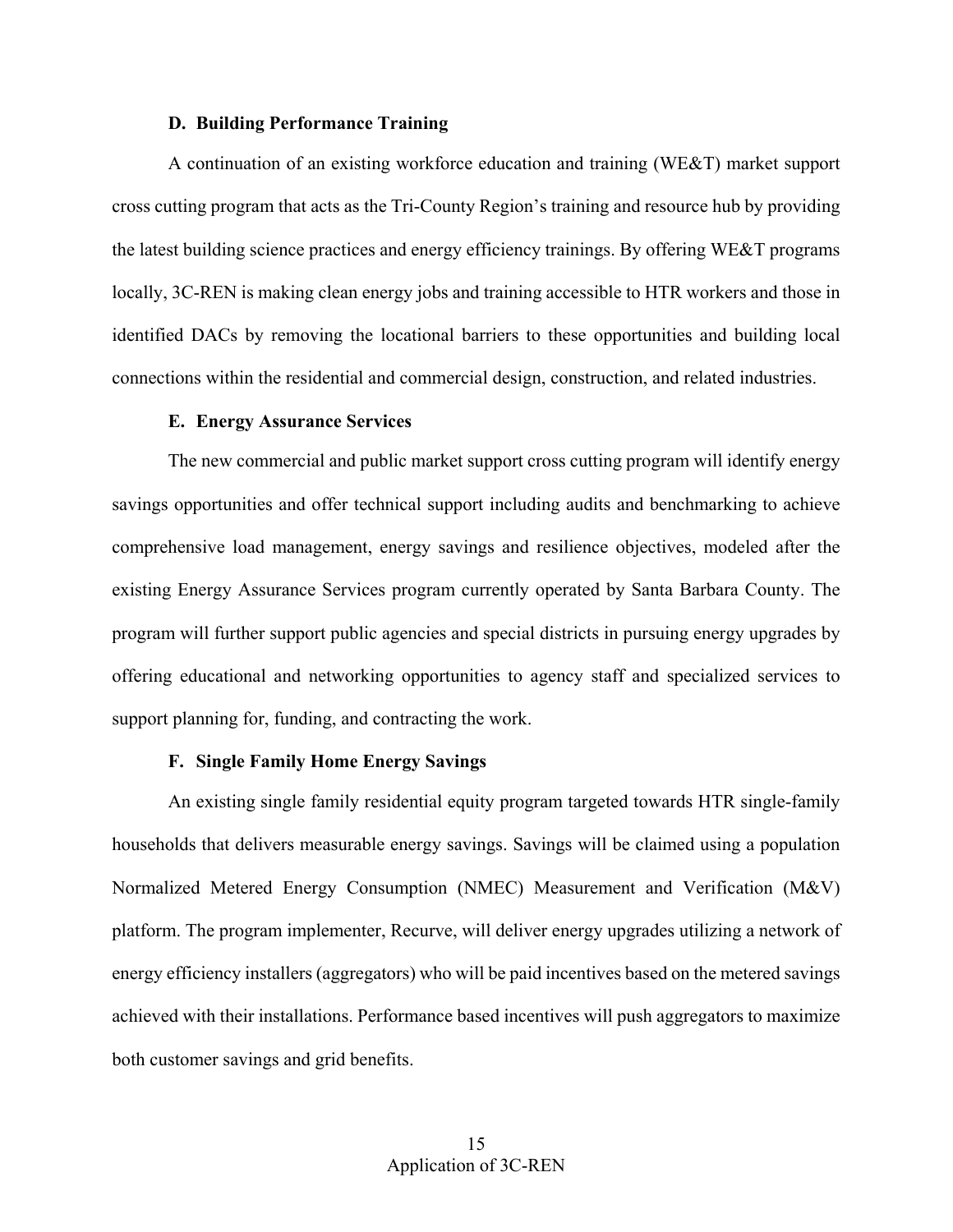### **D. Building Performance Training**

<span id="page-17-0"></span> connections within the residential and commercial design, construction, and related industries. A continuation of an existing workforce education and training (WE&T) market support cross cutting program that acts as the Tri-County Region's training and resource hub by providing the latest building science practices and energy efficiency trainings. By offering WE&T programs locally, 3C-REN is making clean energy jobs and training accessible to HTR workers and those in identified DACs by removing the locational barriers to these opportunities and building local

#### **E. Energy Assurance Services**

<span id="page-17-1"></span> The new commercial and public market support cross cutting program will identify energy savings opportunities and offer technical support including audits and benchmarking to achieve comprehensive load management, energy savings and resilience objectives, modeled after the existing Energy Assurance Services program currently operated by Santa Barbara County. The program will further support public agencies and special districts in pursuing energy upgrades by offering educational and networking opportunities to agency staff and specialized services to support planning for, funding, and contracting the work.

#### **F. Single Family Home Energy Savings**

<span id="page-17-2"></span>An existing single family residential equity program targeted towards HTR single-family households that delivers measurable energy savings. Savings will be claimed using a population Normalized Metered Energy Consumption (NMEC) Measurement and Verification (M&V) platform. The program implementer, Recurve, will deliver energy upgrades utilizing a network of energy efficiency installers (aggregators) who will be paid incentives based on the metered savings achieved with their installations. Performance based incentives will push aggregators to maximize both customer savings and grid benefits.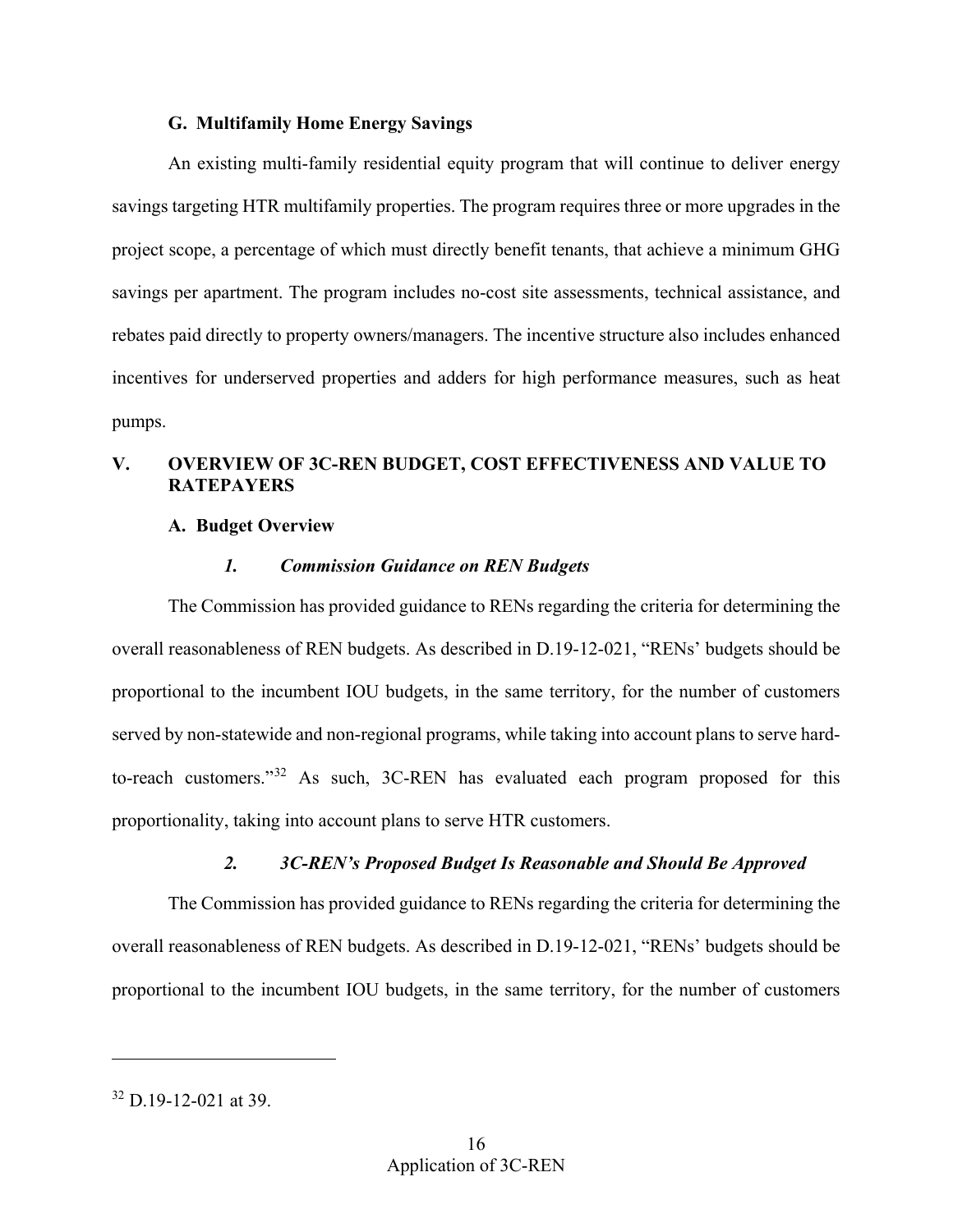### **G. Multifamily Home Energy Savings**

<span id="page-18-0"></span> An existing multi-family residential equity program that will continue to deliver energy savings targeting HTR multifamily properties. The program requires three or more upgrades in the project scope, a percentage of which must directly benefit tenants, that achieve a minimum GHG savings per apartment. The program includes no-cost site assessments, technical assistance, and rebates paid directly to property owners/managers. The incentive structure also includes enhanced incentives for underserved properties and adders for high performance measures, such as heat pumps.

# <span id="page-18-2"></span><span id="page-18-1"></span>**V. OVERVIEW OF 3C-REN BUDGET, COST EFFECTIVENESS AND VALUE TO RATEPAYERS**

## **A. Budget Overview**

### *1. Commission Guidance on REN Budgets*

<span id="page-18-3"></span> proportionality, taking into account plans to serve HTR customers. The Commission has provided guidance to RENs regarding the criteria for determining the overall reasonableness of REN budgets. As described in D.19-12-021, "RENs' budgets should be proportional to the incumbent IOU budgets, in the same territory, for the number of customers served by non-statewide and non-regional programs, while taking into account plans to serve hardto-reach customers."[32](#page-18-5) As such, 3C-REN has evaluated each program proposed for this

## *2. 3C-REN's Proposed Budget Is Reasonable and Should Be Approved*

<span id="page-18-4"></span>The Commission has provided guidance to RENs regarding the criteria for determining the overall reasonableness of REN budgets. As described in D.19-12-021, "RENs' budgets should be proportional to the incumbent IOU budgets, in the same territory, for the number of customers

<u>.</u>

<span id="page-18-5"></span> $32$  D.19-12-021 at 39.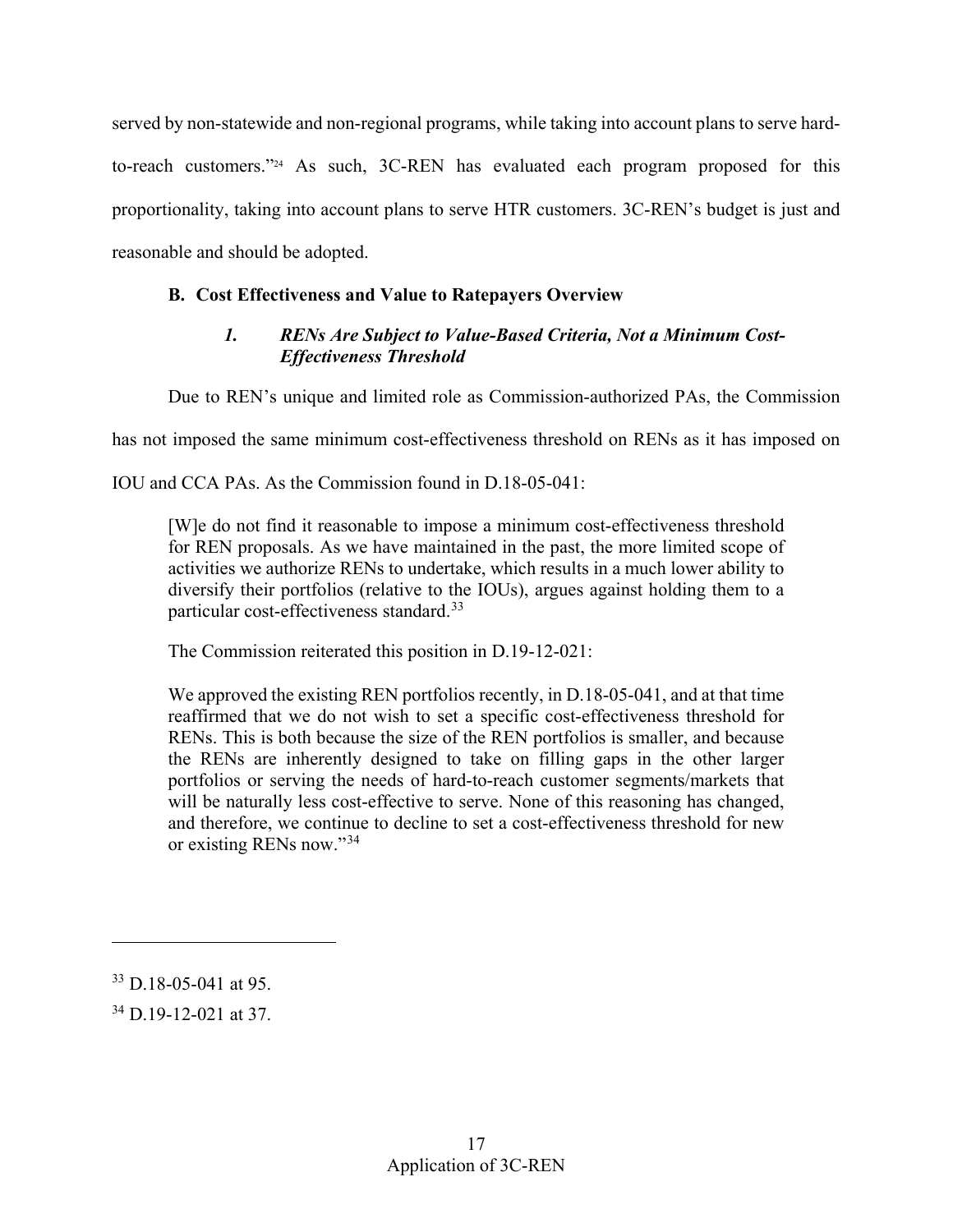proportionality, taking into account plans to serve HTR customers. 3C-REN's budget is just and served by non-statewide and non-regional programs, while taking into account plans to serve hardto-reach customers."24 As such, 3C-REN has evaluated each program proposed for this reasonable and should be adopted.

# <span id="page-19-1"></span><span id="page-19-0"></span>**B. Cost Effectiveness and Value to Ratepayers Overview**

# *1. RENs Are Subject to Value-Based Criteria, Not a Minimum Cost-Effectiveness Threshold*

Due to REN's unique and limited role as Commission-authorized PAs, the Commission

has not imposed the same minimum cost-effectiveness threshold on RENs as it has imposed on

IOU and CCA PAs. As the Commission found in D.18-05-041:

 IOU and CCA PAs. As the Commission found in D.18-05-041: [W]e do not find it reasonable to impose a minimum cost-effectiveness threshold activities we authorize RENs to undertake, which results in a much lower ability to for REN proposals. As we have maintained in the past, the more limited scope of diversify their portfolios (relative to the IOUs), argues against holding them to a particular cost-effectiveness standard.[33](#page-19-2)

The Commission reiterated this position in D.19-12-021:

We approved the existing REN portfolios recently, in D.18-05-041, and at that time reaffirmed that we do not wish to set a specific cost-effectiveness threshold for RENs. This is both because the size of the REN portfolios is smaller, and because the RENs are inherently designed to take on filling gaps in the other larger portfolios or serving the needs of hard-to-reach customer segments/markets that will be naturally less cost-effective to serve. None of this reasoning has changed, and therefore, we continue to decline to set a cost-effectiveness threshold for new or existing RENs now."[34](#page-19-3)

<u>.</u>

<span id="page-19-2"></span> $33$  D.18-05-041 at 95.

<span id="page-19-3"></span><sup>34</sup> D.19-12-021 at 37.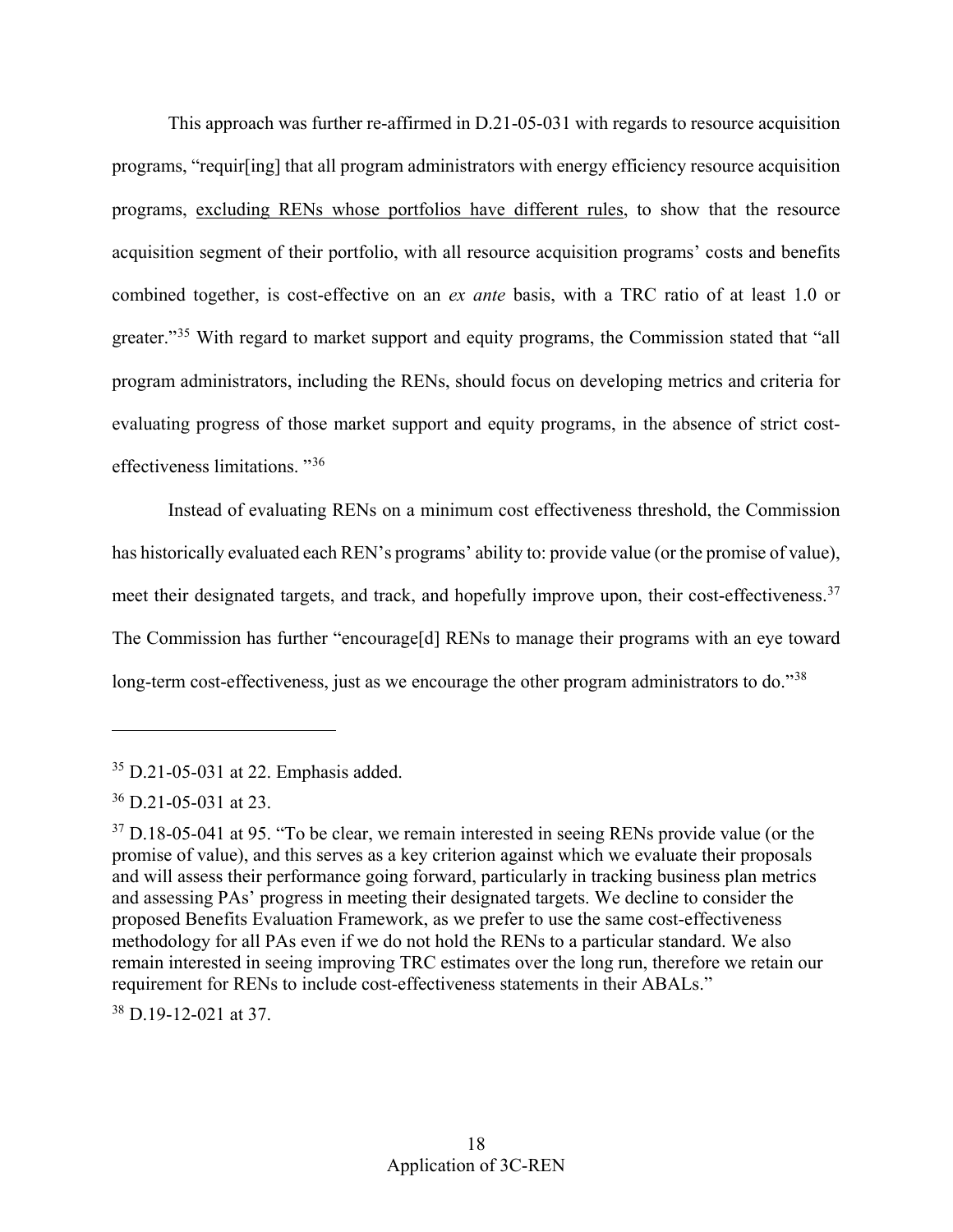This approach was further re-affirmed in D.21-05-031 with regards to resource acquisition programs, "requir[ing] that all program administrators with energy efficiency resource acquisition programs, excluding RENs whose portfolios have different rules, to show that the resource acquisition segment of their portfolio, with all resource acquisition programs' costs and benefits combined together, is cost-effective on an *ex ante* basis, with a TRC ratio of at least 1.0 or greater."<sup>[35](#page-20-0)</sup> With regard to market support and equity programs, the Commission stated that "all program administrators, including the RENs, should focus on developing metrics and criteria for evaluating progress of those market support and equity programs, in the absence of strict costeffectiveness limitations. "[36](#page-20-1) 

Instead of evaluating RENs on a minimum cost effectiveness threshold, the Commission has historically evaluated each REN's programs' ability to: provide value (or the promise of value), meet their designated targets, and track, and hopefully improve upon, their cost-effectiveness.<sup>[37](#page-20-2)</sup> The Commission has further "encourage[d] RENs to manage their programs with an eye toward long-term cost-effectiveness, just as we encourage the other program administrators to do."<sup>38</sup>

<u>.</u>

<span id="page-20-3"></span>38 D.19-12-021 at 37.

<span id="page-20-0"></span><sup>35</sup> D.21-05-031 at 22. Emphasis added.

<span id="page-20-1"></span><sup>36</sup> D.21-05-031 at 23.

<span id="page-20-2"></span> and will assess their performance going forward, particularly in tracking business plan metrics  $37$  D.18-05-041 at 95. "To be clear, we remain interested in seeing RENs provide value (or the promise of value), and this serves as a key criterion against which we evaluate their proposals and assessing PAs' progress in meeting their designated targets. We decline to consider the proposed Benefits Evaluation Framework, as we prefer to use the same cost-effectiveness methodology for all PAs even if we do not hold the RENs to a particular standard. We also remain interested in seeing improving TRC estimates over the long run, therefore we retain our requirement for RENs to include cost-effectiveness statements in their ABALs."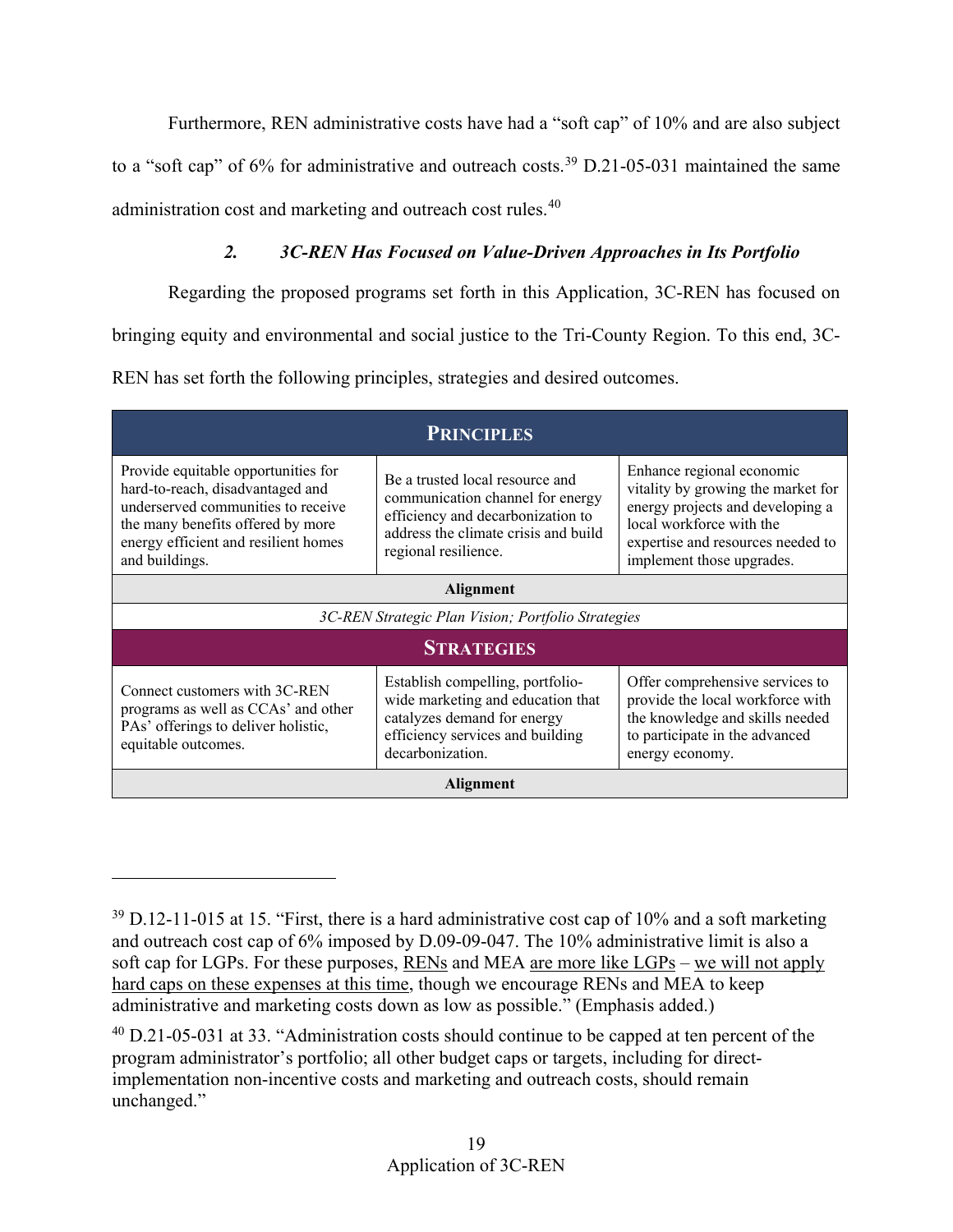Furthermore, REN administrative costs have had a "soft cap" of 10% and are also subject

to a "soft cap" of 6% for administrative and outreach costs.<sup>[39](#page-21-1)</sup> D.21-05-031 maintained the same

<span id="page-21-0"></span>administration cost and marketing and outreach cost rules.<sup>[40](#page-21-2)</sup>

 $\overline{a}$ 

# *2. 3C-REN Has Focused on Value-Driven Approaches in Its Portfolio*

Regarding the proposed programs set forth in this Application, 3C-REN has focused on

bringing equity and environmental and social justice to the Tri-County Region. To this end, 3C-

REN has set forth the following principles, strategies and desired outcomes.

| <b>PRINCIPLES</b>                                                                                                                                                                                                                                                                                                                                                                                                                                                 |                                                                                                                                                                          |                                                                                                                                                                                                   |  |  |  |
|-------------------------------------------------------------------------------------------------------------------------------------------------------------------------------------------------------------------------------------------------------------------------------------------------------------------------------------------------------------------------------------------------------------------------------------------------------------------|--------------------------------------------------------------------------------------------------------------------------------------------------------------------------|---------------------------------------------------------------------------------------------------------------------------------------------------------------------------------------------------|--|--|--|
| Provide equitable opportunities for<br>hard-to-reach, disadvantaged and<br>underserved communities to receive<br>the many benefits offered by more<br>energy efficient and resilient homes<br>and buildings.                                                                                                                                                                                                                                                      | Be a trusted local resource and<br>communication channel for energy<br>efficiency and decarbonization to<br>address the climate crisis and build<br>regional resilience. | Enhance regional economic<br>vitality by growing the market for<br>energy projects and developing a<br>local workforce with the<br>expertise and resources needed to<br>implement those upgrades. |  |  |  |
| <b>Alignment</b>                                                                                                                                                                                                                                                                                                                                                                                                                                                  |                                                                                                                                                                          |                                                                                                                                                                                                   |  |  |  |
| 3C-REN Strategic Plan Vision; Portfolio Strategies                                                                                                                                                                                                                                                                                                                                                                                                                |                                                                                                                                                                          |                                                                                                                                                                                                   |  |  |  |
| <b>STRATEGIES</b>                                                                                                                                                                                                                                                                                                                                                                                                                                                 |                                                                                                                                                                          |                                                                                                                                                                                                   |  |  |  |
| Offer comprehensive services to<br>Establish compelling, portfolio-<br>Connect customers with 3C-REN<br>provide the local workforce with<br>wide marketing and education that<br>programs as well as CCAs' and other<br>catalyzes demand for energy<br>the knowledge and skills needed<br>PAs' offerings to deliver holistic,<br>efficiency services and building<br>to participate in the advanced<br>equitable outcomes.<br>decarbonization.<br>energy economy. |                                                                                                                                                                          |                                                                                                                                                                                                   |  |  |  |
| Alignment                                                                                                                                                                                                                                                                                                                                                                                                                                                         |                                                                                                                                                                          |                                                                                                                                                                                                   |  |  |  |

<span id="page-21-1"></span> $39$  D.12-11-015 at 15. "First, there is a hard administrative cost cap of 10% and a soft marketing and outreach cost cap of 6% imposed by D.09-09-047. The 10% administrative limit is also a soft cap for LGPs. For these purposes, RENs and MEA are more like LGPs – we will not apply hard caps on these expenses at this time, though we encourage RENs and MEA to keep administrative and marketing costs down as low as possible." (Emphasis added.)

<span id="page-21-2"></span> $^{40}$  D.21-05-031 at 33. "Administration costs should continue to be capped at ten percent of the program administrator's portfolio; all other budget caps or targets, including for directimplementation non-incentive costs and marketing and outreach costs, should remain unchanged."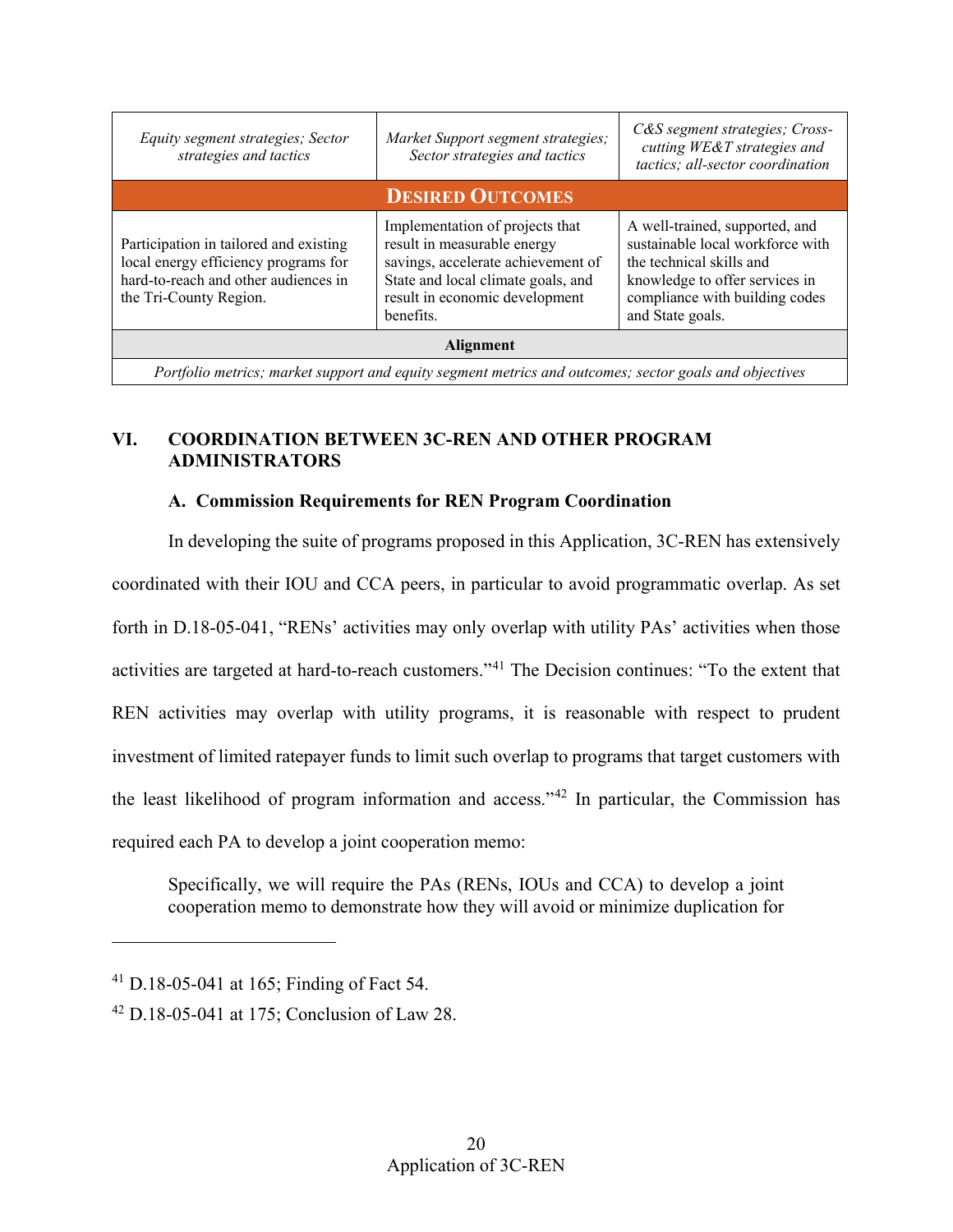| Equity segment strategies; Sector<br>strategies and tactics                                                                                      | Market Support segment strategies;<br>Sector strategies and tactics                                                                                                                       | C&S segment strategies; Cross-<br>cutting WE&T strategies and<br>tactics; all-sector coordination                                                                                      |  |  |  |  |
|--------------------------------------------------------------------------------------------------------------------------------------------------|-------------------------------------------------------------------------------------------------------------------------------------------------------------------------------------------|----------------------------------------------------------------------------------------------------------------------------------------------------------------------------------------|--|--|--|--|
| <b>DESIRED OUTCOMES</b>                                                                                                                          |                                                                                                                                                                                           |                                                                                                                                                                                        |  |  |  |  |
| Participation in tailored and existing<br>local energy efficiency programs for<br>hard-to-reach and other audiences in<br>the Tri-County Region. | Implementation of projects that<br>result in measurable energy<br>savings, accelerate achievement of<br>State and local climate goals, and<br>result in economic development<br>benefits. | A well-trained, supported, and<br>sustainable local workforce with<br>the technical skills and<br>knowledge to offer services in<br>compliance with building codes<br>and State goals. |  |  |  |  |
| <b>Alignment</b>                                                                                                                                 |                                                                                                                                                                                           |                                                                                                                                                                                        |  |  |  |  |
| Portfolio metrics; market support and equity segment metrics and outcomes; sector goals and objectives                                           |                                                                                                                                                                                           |                                                                                                                                                                                        |  |  |  |  |

# <span id="page-22-0"></span>**VI. COORDINATION BETWEEN 3C-REN AND OTHER PROGRAM ADMINISTRATORS**

# **A. Commission Requirements for REN Program Coordination**

<span id="page-22-1"></span>In developing the suite of programs proposed in this Application, 3C-REN has extensively coordinated with their IOU and CCA peers, in particular to avoid programmatic overlap. As set forth in D.18-05-041, "RENs' activities may only overlap with utility PAs' activities when those activities are targeted at hard-to-reach customers."[41](#page-22-2) The Decision continues: "To the extent that REN activities may overlap with utility programs, it is reasonable with respect to prudent investment of limited ratepayer funds to limit such overlap to programs that target customers with the least likelihood of program information and access."[42](#page-22-3) In particular, the Commission has required each PA to develop a joint cooperation memo:

Specifically, we will require the PAs (RENs, IOUs and CCA) to develop a joint cooperation memo to demonstrate how they will avoid or minimize duplication for

<span id="page-22-2"></span><sup>41</sup> D.18-05-041 at 165; Finding of Fact 54.

<span id="page-22-3"></span> $42$  D.18-05-041 at 175; Conclusion of Law 28.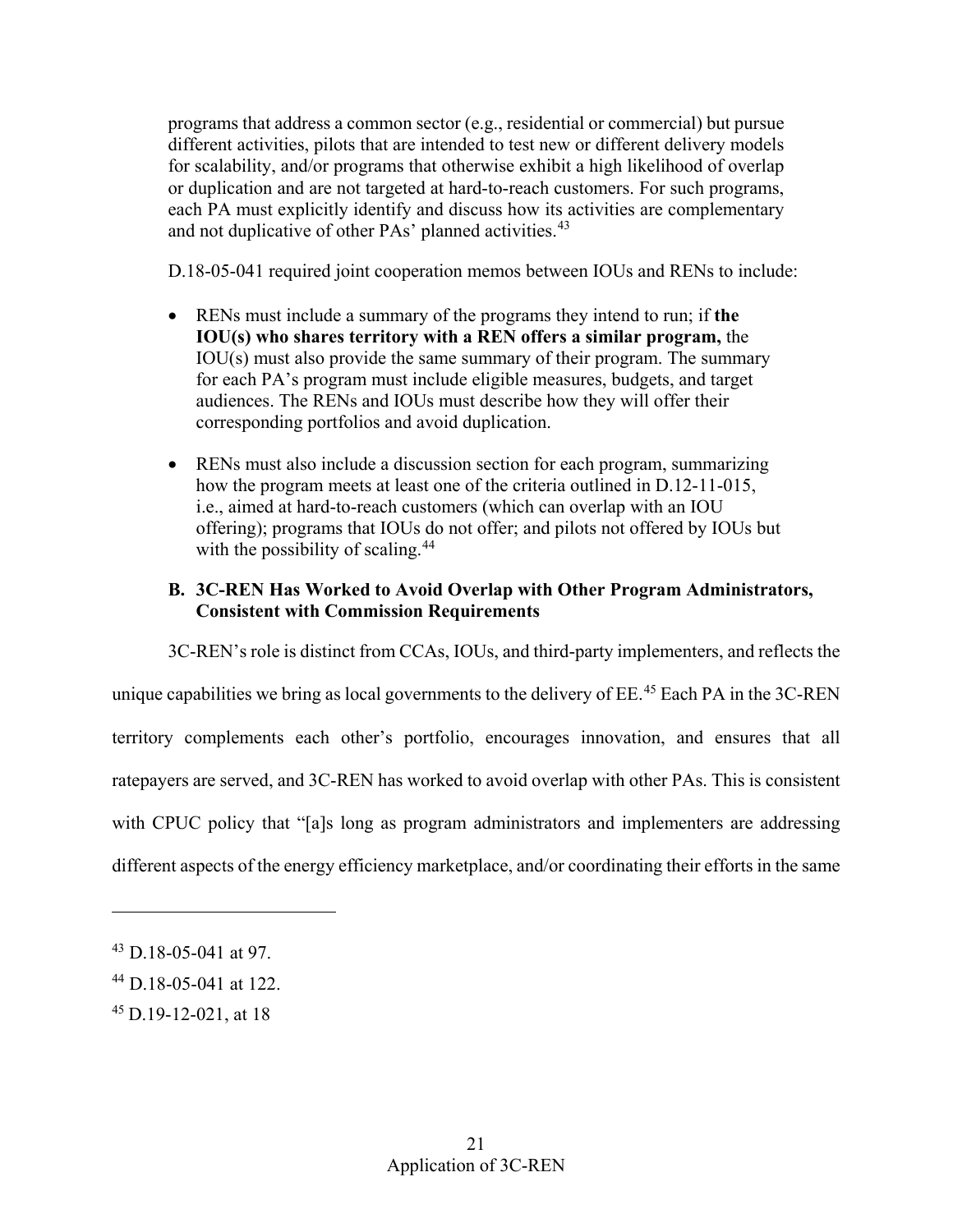each PA must explicitly identify and discuss how its activities are complementary programs that address a common sector (e.g., residential or commercial) but pursue different activities, pilots that are intended to test new or different delivery models for scalability, and/or programs that otherwise exhibit a high likelihood of overlap or duplication and are not targeted at hard-to-reach customers. For such programs, and not duplicative of other PAs' planned activities.<sup>[43](#page-23-1)</sup>

D.18-05-041 required joint cooperation memos between IOUs and RENs to include:

- audiences. The RENs and IOUs must describe how they will offer their • RENs must include a summary of the programs they intend to run; if **the IOU(s) who shares territory with a REN offers a similar program,** the IOU(s) must also provide the same summary of their program. The summary for each PA's program must include eligible measures, budgets, and target corresponding portfolios and avoid duplication.
- • RENs must also include a discussion section for each program, summarizing how the program meets at least one of the criteria outlined in D.12-11-015, i.e., aimed at hard-to-reach customers (which can overlap with an IOU offering); programs that IOUs do not offer; and pilots not offered by IOUs but with the possibility of scaling.<sup>44</sup>

# <span id="page-23-0"></span>**B. 3C-REN Has Worked to Avoid Overlap with Other Program Administrators, Consistent with Commission Requirements**

unique capabilities we bring as local governments to the delivery of  $EE.^{45}$  Each PA in the 3C-REN different aspects of the energy efficiency marketplace, and/or coordinating their efforts in the same 3C-REN's role is distinct from CCAs, IOUs, and third-party implementers, and reflects the territory complements each other's portfolio, encourages innovation, and ensures that all ratepayers are served, and 3C-REN has worked to avoid overlap with other PAs. This is consistent with CPUC policy that "[a]s long as program administrators and implementers are addressing

<span id="page-23-1"></span><sup>43</sup> D.18-05-041 at 97.

<span id="page-23-2"></span> $44$  D.18-05-041 at 122.

<span id="page-23-3"></span><sup>45</sup> D.19-12-021, at 18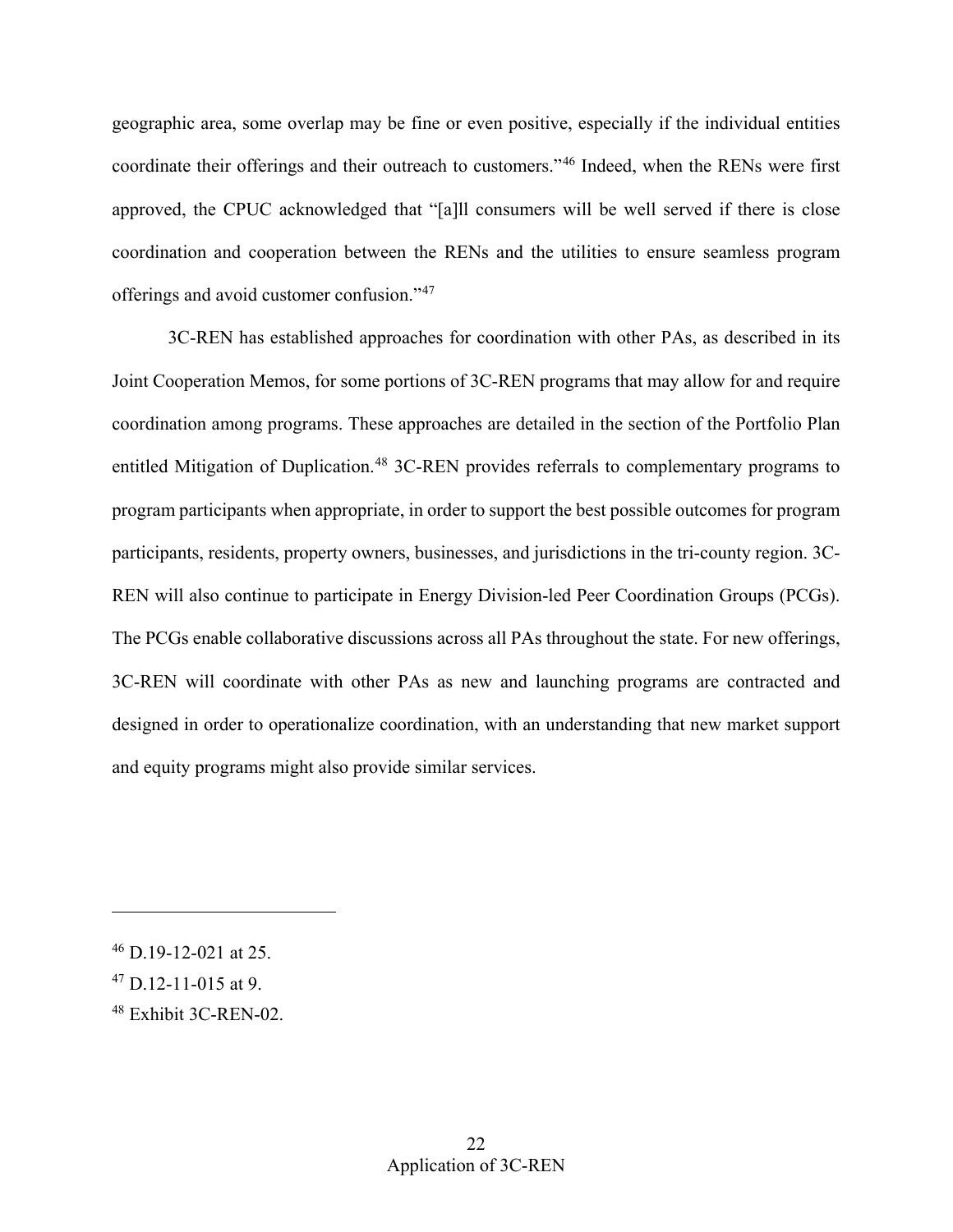approved, the CPUC acknowledged that "[a]ll consumers will be well served if there is close geographic area, some overlap may be fine or even positive, especially if the individual entities coordinate their offerings and their outreach to customers."[46](#page-24-0) Indeed, when the RENs were first coordination and cooperation between the RENs and the utilities to ensure seamless program offerings and avoid customer confusion."[47](#page-24-1)

and equity programs might also provide similar services. 3C-REN has established approaches for coordination with other PAs, as described in its Joint Cooperation Memos, for some portions of 3C-REN programs that may allow for and require coordination among programs. These approaches are detailed in the section of the Portfolio Plan entitled Mitigation of Duplication.<sup>[48](#page-24-2)</sup> 3C-REN provides referrals to complementary programs to program participants when appropriate, in order to support the best possible outcomes for program participants, residents, property owners, businesses, and jurisdictions in the tri-county region. 3C-REN will also continue to participate in Energy Division-led Peer Coordination Groups (PCGs). The PCGs enable collaborative discussions across all PAs throughout the state. For new offerings, 3C-REN will coordinate with other PAs as new and launching programs are contracted and designed in order to operationalize coordination, with an understanding that new market support and equity programs might also provide similar services.<br>
<br>
46 D.19-12-021 at 25.

<span id="page-24-0"></span>

<span id="page-24-1"></span> $^{47}$  D.12-11-015 at 9.

<span id="page-24-2"></span><sup>48</sup> Exhibit 3C-REN-02.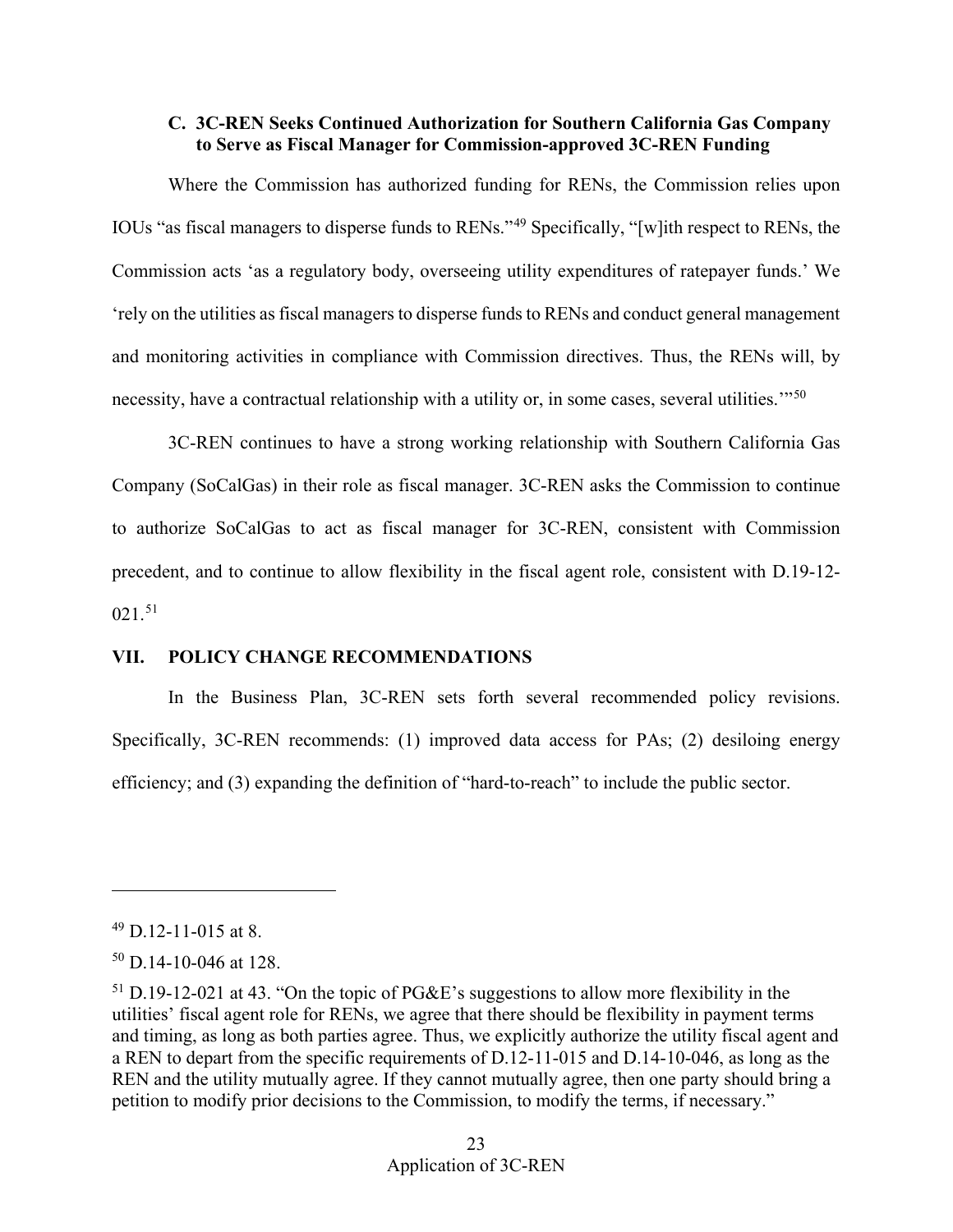## <span id="page-25-0"></span> **to Serve as Fiscal Manager for Commission-approved 3C-REN Funding C. 3C-REN Seeks Continued Authorization for Southern California Gas Company**

 IOUs "as fiscal managers to disperse funds to RENs."[49](#page-25-2) Specifically, "[w]ith respect to RENs, the Where the Commission has authorized funding for RENs, the Commission relies upon Commission acts 'as a regulatory body, overseeing utility expenditures of ratepayer funds.' We 'rely on the utilities as fiscal managers to disperse funds to RENs and conduct general management and monitoring activities in compliance with Commission directives. Thus, the RENs will, by necessity, have a contractual relationship with a utility or, in some cases, several utilities."<sup>[50](#page-25-3)</sup>

021.[51](#page-25-4)  3C-REN continues to have a strong working relationship with Southern California Gas Company (SoCalGas) in their role as fiscal manager. 3C-REN asks the Commission to continue to authorize SoCalGas to act as fiscal manager for 3C-REN, consistent with Commission precedent, and to continue to allow flexibility in the fiscal agent role, consistent with D.19-12-

## <span id="page-25-1"></span>**VII. POLICY CHANGE RECOMMENDATIONS**

 efficiency; and (3) expanding the definition of "hard-to-reach" to include the public sector. In the Business Plan, 3C-REN sets forth several recommended policy revisions. Specifically, 3C-REN recommends: (1) improved data access for PAs; (2) desiloing energy

-

<span id="page-25-2"></span> $49$  D.12-11-015 at 8.

<span id="page-25-3"></span> $50$  D.14-10-046 at 128.

<span id="page-25-4"></span> $51$  D.19-12-021 at 43. "On the topic of PG&E's suggestions to allow more flexibility in the utilities' fiscal agent role for RENs, we agree that there should be flexibility in payment terms and timing, as long as both parties agree. Thus, we explicitly authorize the utility fiscal agent and a REN to depart from the specific requirements of D.12-11-015 and D.14-10-046, as long as the REN and the utility mutually agree. If they cannot mutually agree, then one party should bring a petition to modify prior decisions to the Commission, to modify the terms, if necessary."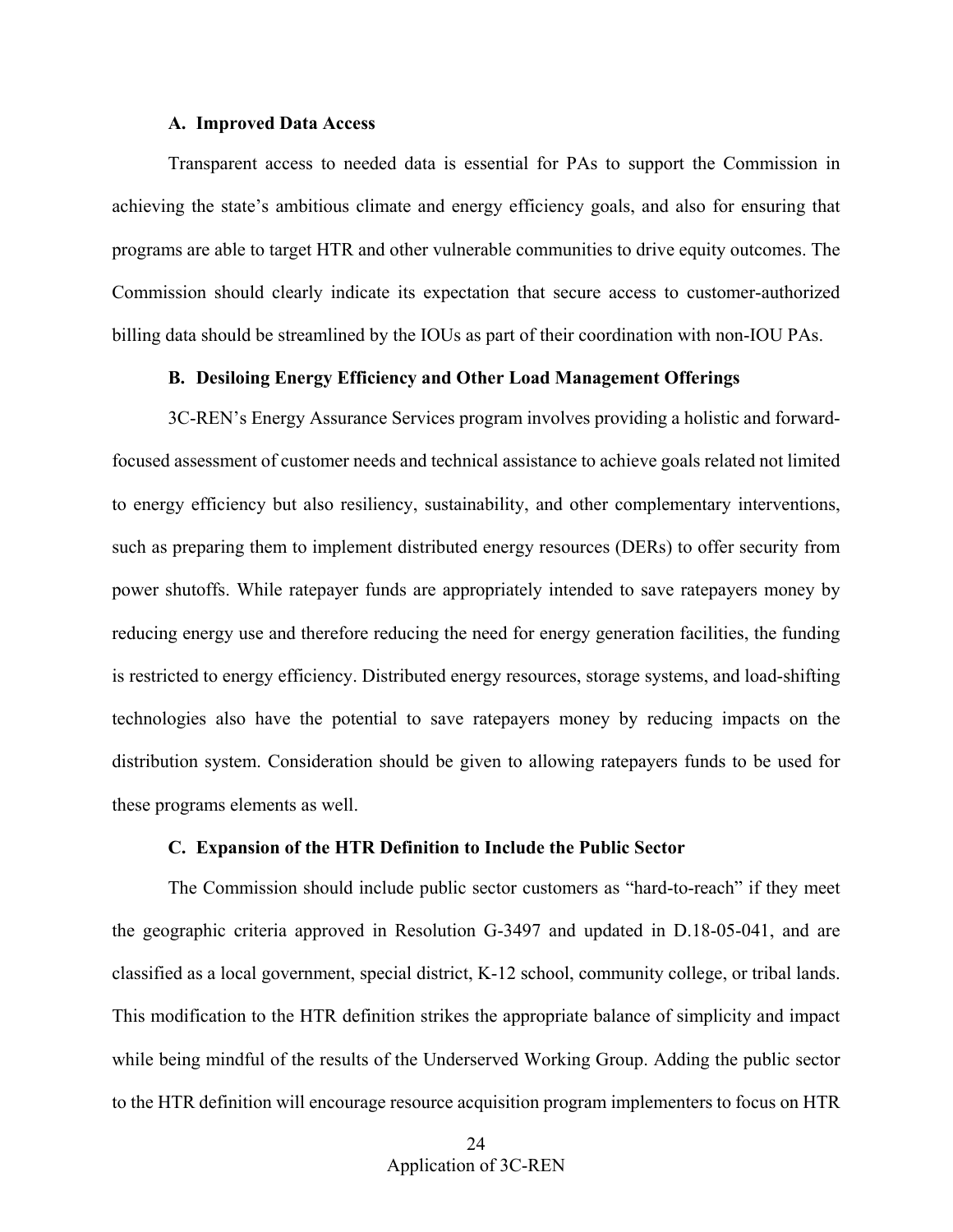#### **A. Improved Data Access**

<span id="page-26-0"></span> programs are able to target HTR and other vulnerable communities to drive equity outcomes. The Transparent access to needed data is essential for PAs to support the Commission in achieving the state's ambitious climate and energy efficiency goals, and also for ensuring that Commission should clearly indicate its expectation that secure access to customer-authorized billing data should be streamlined by the IOUs as part of their coordination with non-IOU PAs.

### **B. Desiloing Energy Efficiency and Other Load Management Offerings**

<span id="page-26-1"></span> power shutoffs. While ratepayer funds are appropriately intended to save ratepayers money by these programs elements as well. 3C-REN's Energy Assurance Services program involves providing a holistic and forwardfocused assessment of customer needs and technical assistance to achieve goals related not limited to energy efficiency but also resiliency, sustainability, and other complementary interventions, such as preparing them to implement distributed energy resources (DERs) to offer security from reducing energy use and therefore reducing the need for energy generation facilities, the funding is restricted to energy efficiency. Distributed energy resources, storage systems, and load-shifting technologies also have the potential to save ratepayers money by reducing impacts on the distribution system. Consideration should be given to allowing ratepayers funds to be used for

### **C. Expansion of the HTR Definition to Include the Public Sector**

<span id="page-26-2"></span> to the HTR definition will encourage resource acquisition program implementers to focus on HTR The Commission should include public sector customers as "hard-to-reach" if they meet the geographic criteria approved in Resolution G-3497 and updated in D.18-05-041, and are classified as a local government, special district, K-12 school, community college, or tribal lands. This modification to the HTR definition strikes the appropriate balance of simplicity and impact while being mindful of the results of the Underserved Working Group. Adding the public sector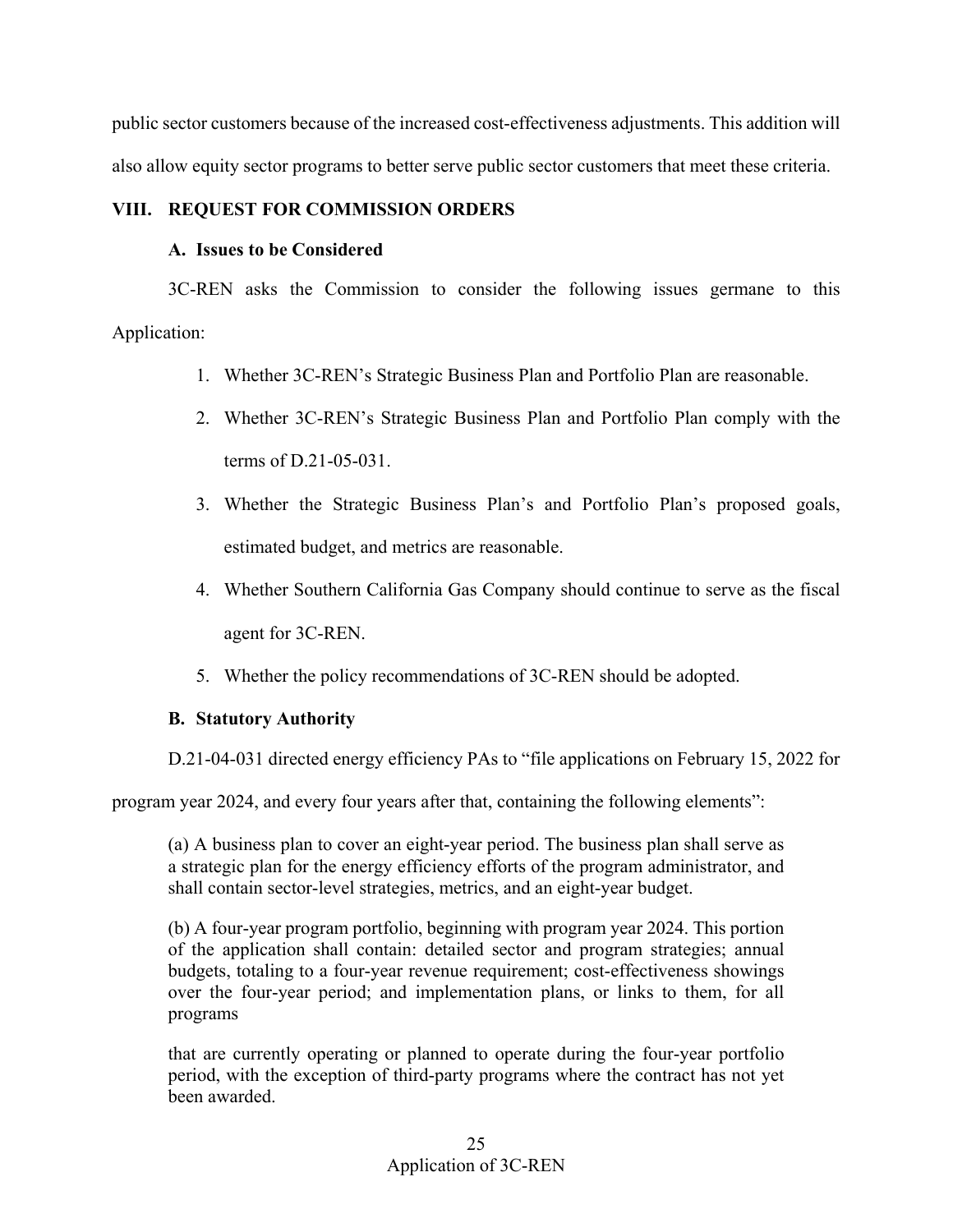also allow equity sector programs to better serve public sector customers that meet these criteria. public sector customers because of the increased cost-effectiveness adjustments. This addition will

## <span id="page-27-1"></span><span id="page-27-0"></span>**VIII. REQUEST FOR COMMISSION ORDERS**

## **A. Issues to be Considered**

3C-REN asks the Commission to consider the following issues germane to this Application:

- 1. Whether 3C-REN's Strategic Business Plan and Portfolio Plan are reasonable.
- 2. Whether 3C-REN's Strategic Business Plan and Portfolio Plan comply with the terms of D.21-05-031.
- 3. Whether the Strategic Business Plan's and Portfolio Plan's proposed goals, estimated budget, and metrics are reasonable.
- 4. Whether Southern California Gas Company should continue to serve as the fiscal agent for 3C-REN.
- 5. Whether the policy recommendations of 3C-REN should be adopted.

# <span id="page-27-2"></span>**B. Statutory Authority**

D.21-04-031 directed energy efficiency PAs to "file applications on February 15, 2022 for

program year 2024, and every four years after that, containing the following elements":

(a) A business plan to cover an eight-year period. The business plan shall serve as a strategic plan for the energy efficiency efforts of the program administrator, and shall contain sector-level strategies, metrics, and an eight-year budget.

 over the four-year period; and implementation plans, or links to them, for all programs (b) A four-year program portfolio, beginning with program year 2024. This portion of the application shall contain: detailed sector and program strategies; annual budgets, totaling to a four-year revenue requirement; cost-effectiveness showings

that are currently operating or planned to operate during the four-year portfolio period, with the exception of third-party programs where the contract has not yet been awarded.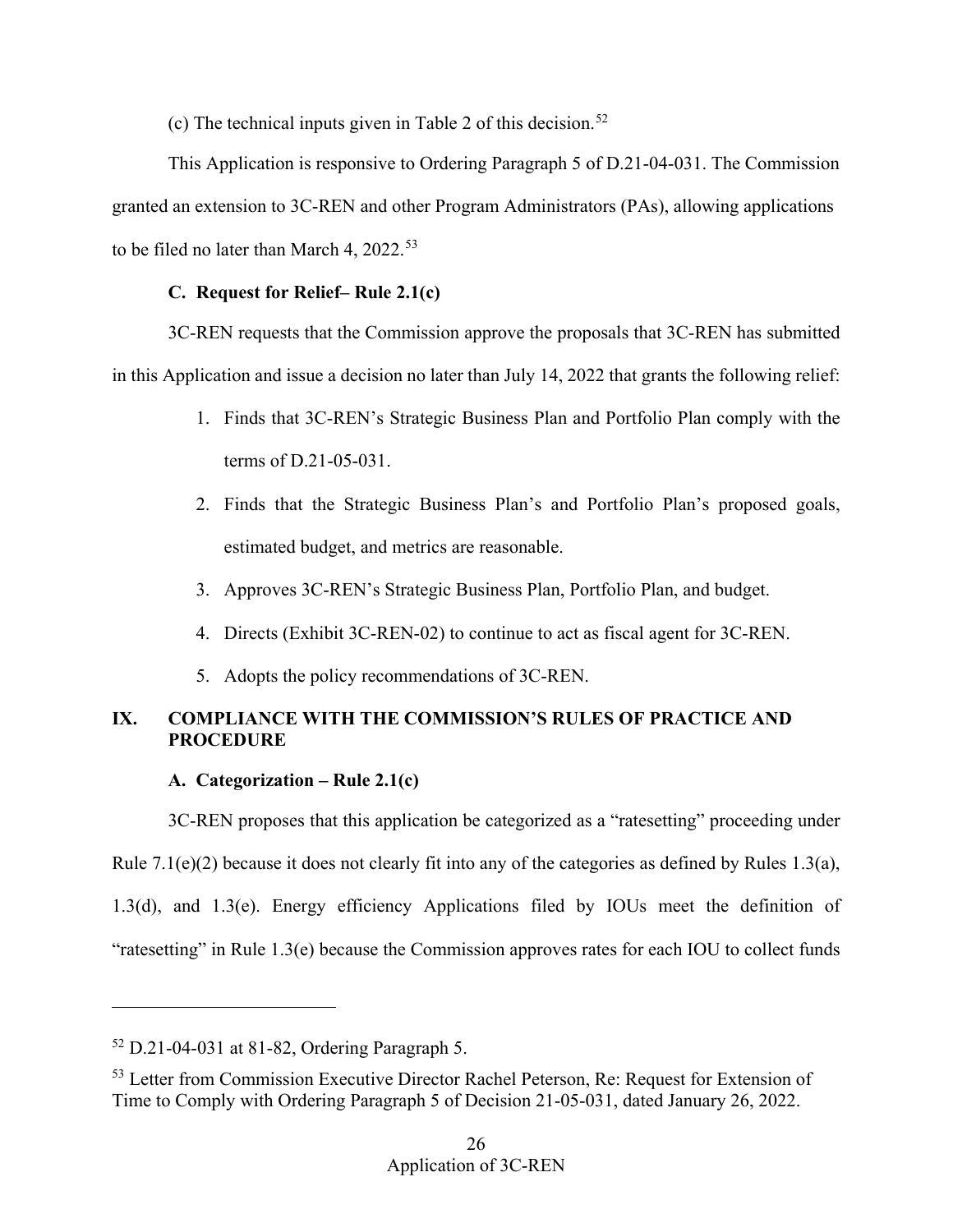(c) The technical inputs given in Table 2 of this decision.<sup>52</sup>

 granted an extension to 3C-REN and other Program Administrators (PAs), allowing applications This Application is responsive to Ordering Paragraph 5 of D.21-04-031. The Commission to be filed no later than March 4,  $2022.^{53}$ 

# **C. Request for Relief– Rule 2.1(c)**

<span id="page-28-0"></span>3C-REN requests that the Commission approve the proposals that 3C-REN has submitted in this Application and issue a decision no later than July 14, 2022 that grants the following relief:

- 1. Finds that 3C-REN's Strategic Business Plan and Portfolio Plan comply with the terms of D.21-05-031.
- 2. Finds that the Strategic Business Plan's and Portfolio Plan's proposed goals, estimated budget, and metrics are reasonable.
- 3. Approves 3C-REN's Strategic Business Plan, Portfolio Plan, and budget.
- 4. Directs (Exhibit 3C-REN-02) to continue to act as fiscal agent for 3C-REN.
- 5. Adopts the policy recommendations of 3C-REN.

# <span id="page-28-1"></span>**IX. COMPLIANCE WITH THE COMMISSION'S RULES OF PRACTICE AND PROCEDURE**

# **A. Categorization – Rule 2.1(c)**

<span id="page-28-2"></span> Rule 7.1(e)(2) because it does not clearly fit into any of the categories as defined by Rules 1.3(a), 3C-REN proposes that this application be categorized as a "ratesetting" proceeding under 1.3(d), and 1.3(e). Energy efficiency Applications filed by IOUs meet the definition of "ratesetting" in Rule 1.3(e) because the Commission approves rates for each IOU to collect funds

-

<span id="page-28-3"></span><sup>52</sup> D.21-04-031 at 81-82, Ordering Paragraph 5.

<span id="page-28-4"></span><sup>&</sup>lt;sup>53</sup> Letter from Commission Executive Director Rachel Peterson, Re: Request for Extension of Time to Comply with Ordering Paragraph 5 of Decision 21-05-031, dated January 26, 2022.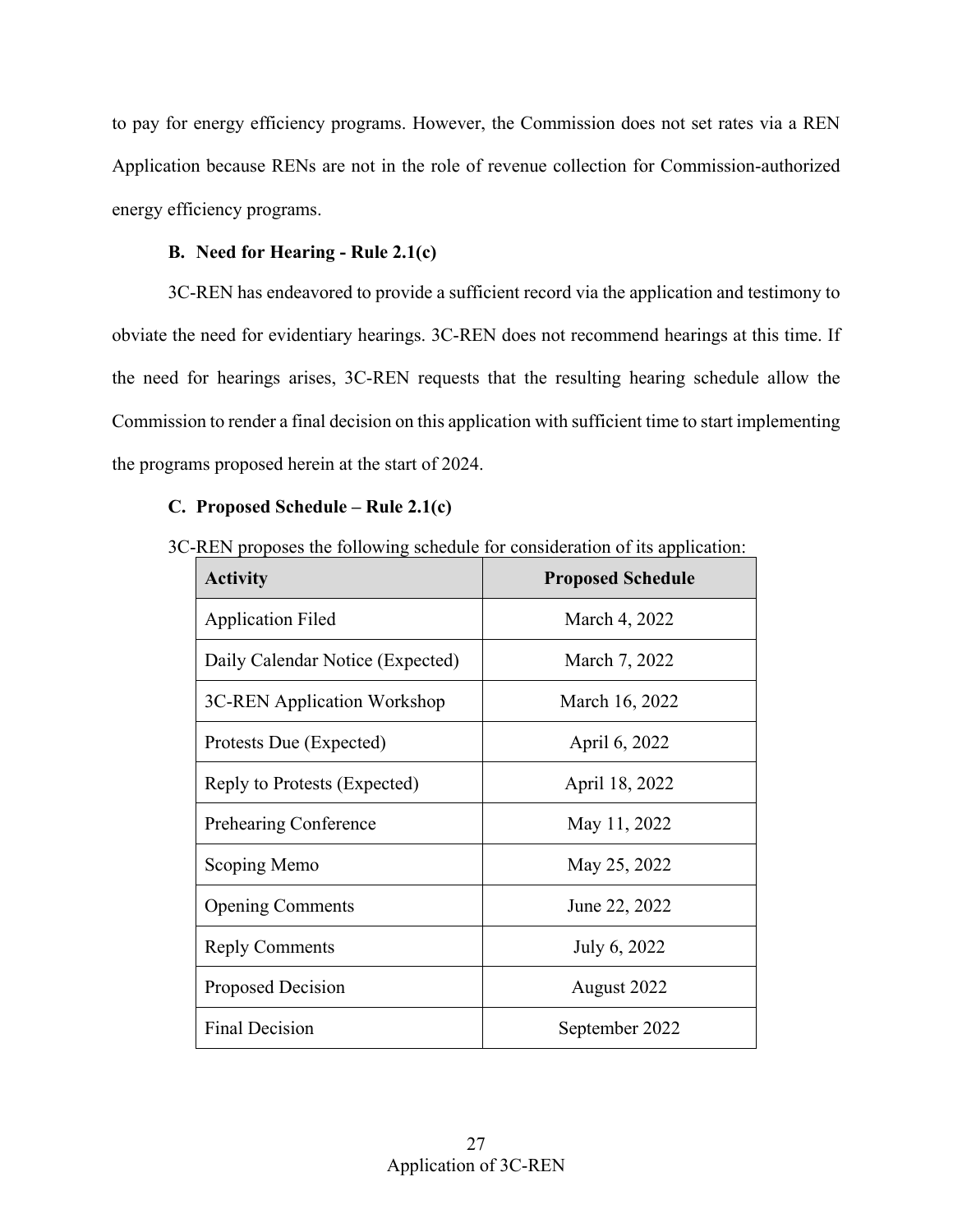to pay for energy efficiency programs. However, the Commission does not set rates via a REN Application because RENs are not in the role of revenue collection for Commission-authorized energy efficiency programs.

## **B. Need for Hearing - Rule 2.1(c)**

<span id="page-29-0"></span> 3C-REN has endeavored to provide a sufficient record via the application and testimony to obviate the need for evidentiary hearings. 3C-REN does not recommend hearings at this time. If the need for hearings arises, 3C-REN requests that the resulting hearing schedule allow the Commission to render a final decision on this application with sufficient time to start implementing the programs proposed herein at the start of 2024.

# <span id="page-29-1"></span>**C. Proposed Schedule – Rule 2.1(c)**

|  |  |  |  |  | 3C-REN proposes the following schedule for consideration of its application: |
|--|--|--|--|--|------------------------------------------------------------------------------|
|--|--|--|--|--|------------------------------------------------------------------------------|

| <b>Activity</b>                  | <b>Proposed Schedule</b> |
|----------------------------------|--------------------------|
| <b>Application Filed</b>         | March 4, 2022            |
| Daily Calendar Notice (Expected) | March 7, 2022            |
| 3C-REN Application Workshop      | March 16, 2022           |
| Protests Due (Expected)          | April 6, 2022            |
| Reply to Protests (Expected)     | April 18, 2022           |
| <b>Prehearing Conference</b>     | May 11, 2022             |
| Scoping Memo                     | May 25, 2022             |
| <b>Opening Comments</b>          | June 22, 2022            |
| <b>Reply Comments</b>            | July 6, 2022             |
| Proposed Decision                | August 2022              |
| <b>Final Decision</b>            | September 2022           |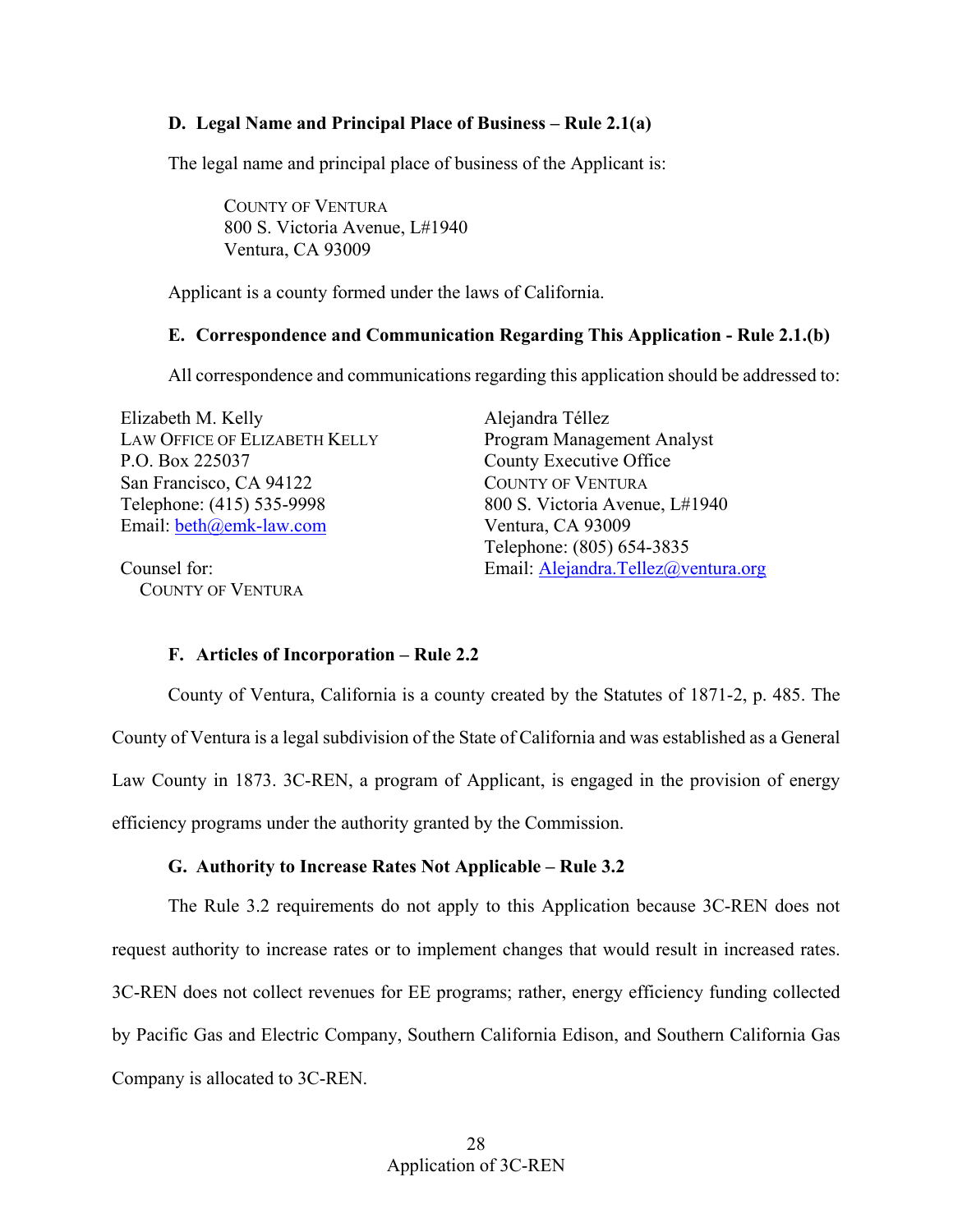## <span id="page-30-0"></span>**D. Legal Name and Principal Place of Business – Rule 2.1(a)**

The legal name and principal place of business of the Applicant is:

COUNTY OF VENTURA 800 S. Victoria Avenue, L#1940 Ventura, CA 93009

Applicant is a county formed under the laws of California.

### <span id="page-30-1"></span> **E. Correspondence and Communication Regarding This Application - Rule 2.1.(b)**

All correspondence and communications regarding this application should be addressed to:

Email: **beth**@emk-law.com Ventura, CA 93009 Elizabeth M. Kelly Alejandra Téllez LAW OFFICE OF ELIZABETH KELLY Program Management Analyst P.O. Box 225037 County Executive Office San Francisco, CA 94122 COUNTY OF VENTURA Telephone: (415) 535-9998 800 S. Victoria Avenue, L#1940

Counsel for: COUNTY OF VENTURA Telephone: (805) 654-3835 Email: Alejandra.Tellez@ventura.org

### **F. Articles of Incorporation – Rule 2.2**

<span id="page-30-2"></span>County of Ventura, California is a county created by the Statutes of 1871-2, p. 485. The County of Ventura is a legal subdivision of the State of California and was established as a General Law County in 1873. 3C-REN, a program of Applicant, is engaged in the provision of energy efficiency programs under the authority granted by the Commission.

### **G. Authority to Increase Rates Not Applicable – Rule 3.2**

<span id="page-30-3"></span> Company is allocated to 3C-REN. The Rule 3.2 requirements do not apply to this Application because 3C-REN does not request authority to increase rates or to implement changes that would result in increased rates. 3C-REN does not collect revenues for EE programs; rather, energy efficiency funding collected by Pacific Gas and Electric Company, Southern California Edison, and Southern California Gas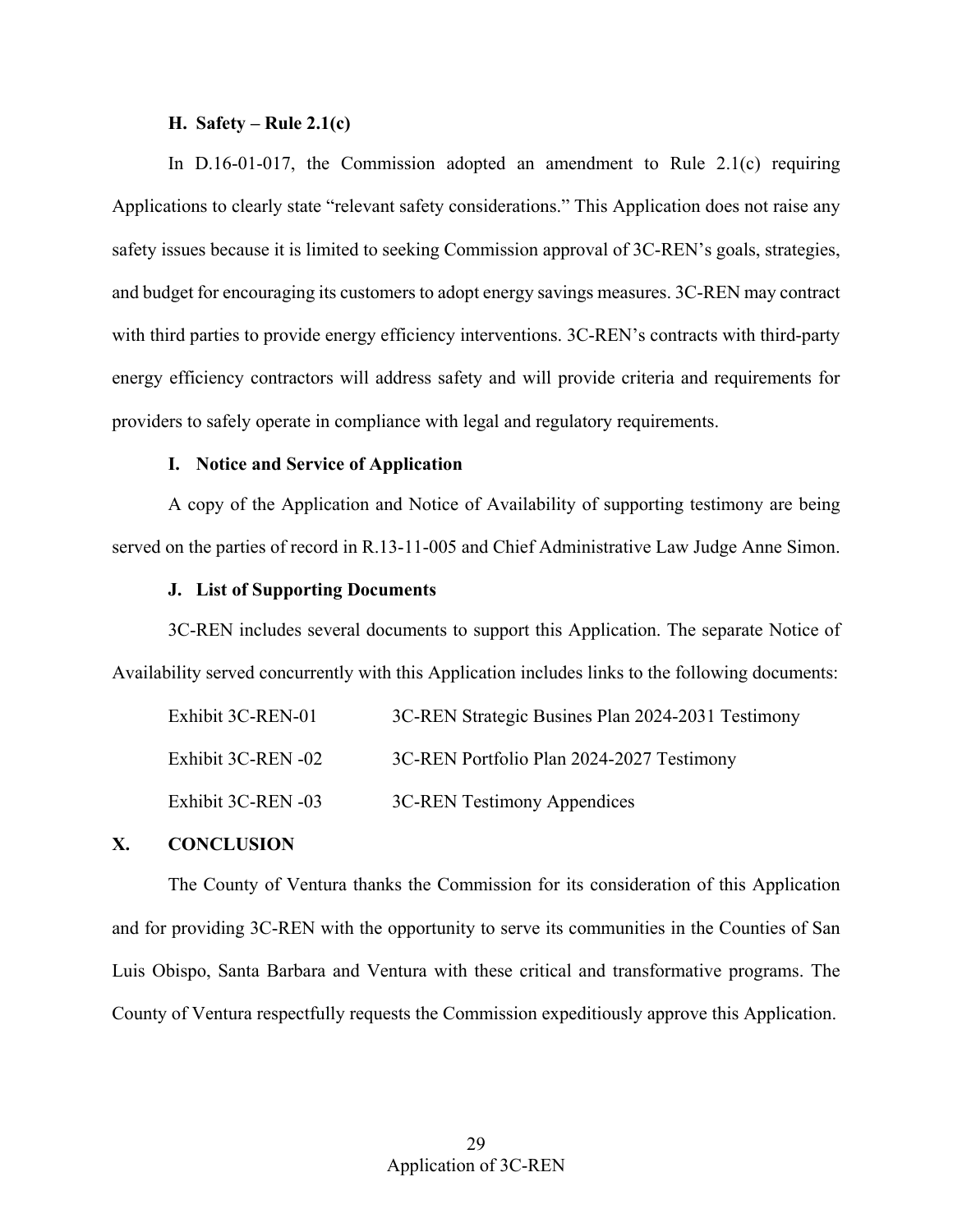### **H. Safety – Rule 2.1(c)**

<span id="page-31-0"></span> In D.16-01-017, the Commission adopted an amendment to Rule 2.1(c) requiring and budget for encouraging its customers to adopt energy savings measures. 3C-REN may contract Applications to clearly state "relevant safety considerations." This Application does not raise any safety issues because it is limited to seeking Commission approval of 3C-REN's goals, strategies, with third parties to provide energy efficiency interventions. 3C-REN's contracts with third-party energy efficiency contractors will address safety and will provide criteria and requirements for providers to safely operate in compliance with legal and regulatory requirements.

### **I. Notice and Service of Application**

<span id="page-31-1"></span> A copy of the Application and Notice of Availability of supporting testimony are being served on the parties of record in R.13-11-005 and Chief Administrative Law Judge Anne Simon.

#### **J. List of Supporting Documents**

<span id="page-31-2"></span>3C-REN includes several documents to support this Application. The separate Notice of Availability served concurrently with this Application includes links to the following documents:

| Exhibit 3C-REN-01  | 3C-REN Strategic Busines Plan 2024-2031 Testimony |
|--------------------|---------------------------------------------------|
| Exhibit 3C-REN -02 | 3C-REN Portfolio Plan 2024-2027 Testimony         |
| Exhibit 3C-REN -03 | 3C-REN Testimony Appendices                       |

### <span id="page-31-3"></span>**X. CONCLUSION**

 The County of Ventura thanks the Commission for its consideration of this Application and for providing 3C-REN with the opportunity to serve its communities in the Counties of San County of Ventura respectfully requests the Commission expeditiously approve this Application. Luis Obispo, Santa Barbara and Ventura with these critical and transformative programs. The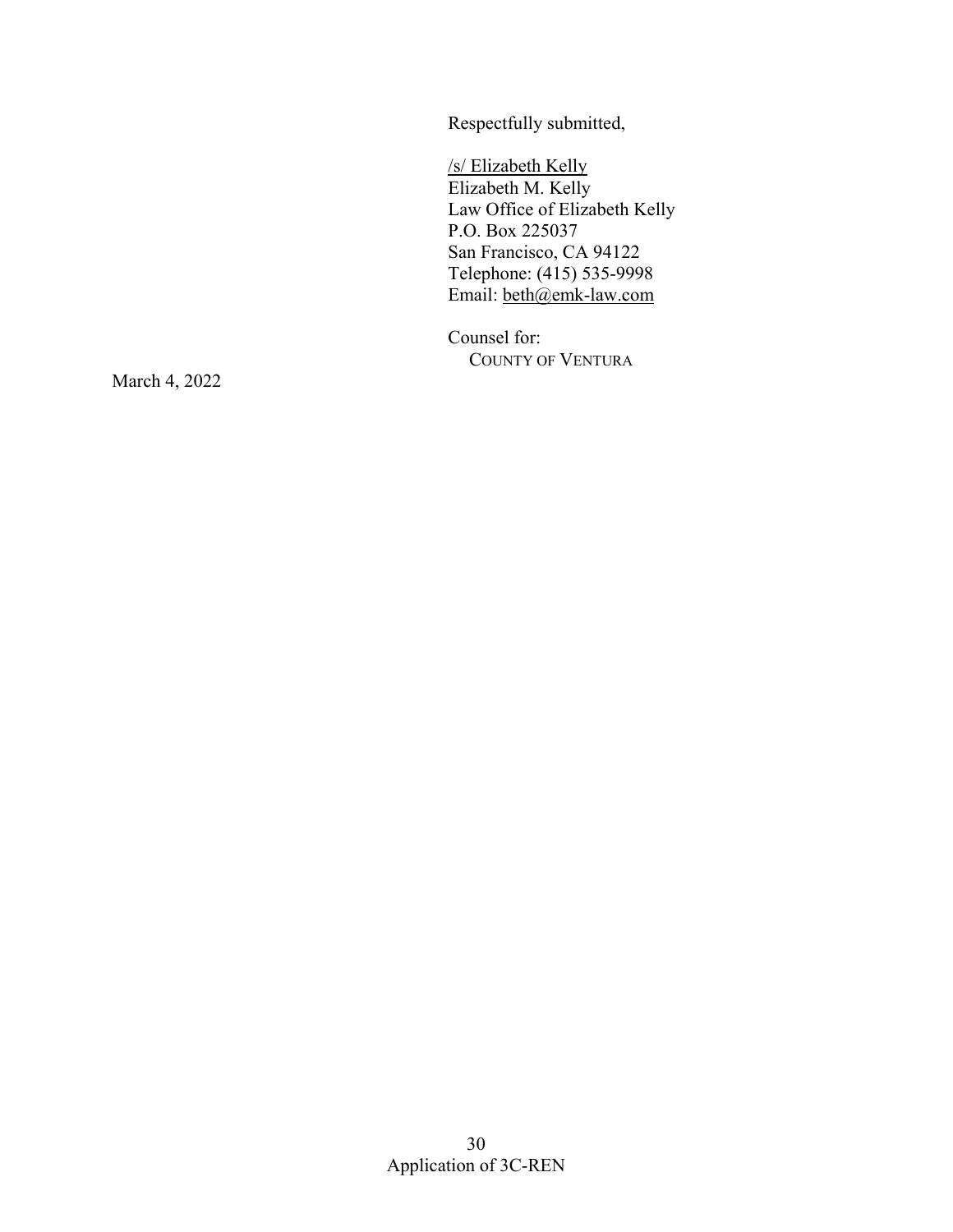Respectfully submitted,

/s/ Elizabeth Kelly Elizabeth M. Kelly Law Office of Elizabeth Kelly P.O. Box 225037 San Francisco, CA 94122 Telephone: (415) 535-9998 Email: [beth@emk-law.com](mailto:beth@emk-law.com) 

Counsel for: COUNTY OF VENTURA

March 4, 2022